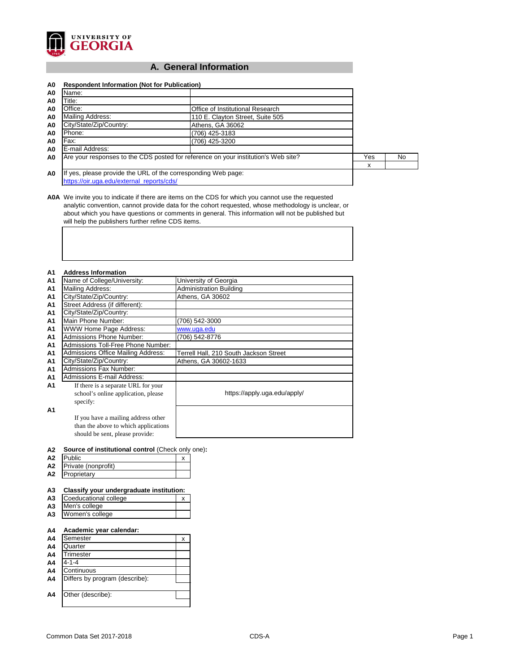

## **A. General Information**

| A0             | <b>Respondent Information (Not for Publication)</b>                                |                                  |    |  |  |  |  |
|----------------|------------------------------------------------------------------------------------|----------------------------------|----|--|--|--|--|
| A0             | Name:                                                                              |                                  |    |  |  |  |  |
| A <sub>0</sub> | Title:                                                                             |                                  |    |  |  |  |  |
| A0             | Office:                                                                            |                                  |    |  |  |  |  |
| A0             | Mailing Address:                                                                   | 110 E. Clayton Street, Suite 505 |    |  |  |  |  |
| A0             | City/State/Zip/Country:                                                            | Athens, GA 36062                 |    |  |  |  |  |
| A0             | Phone:                                                                             |                                  |    |  |  |  |  |
| A0             | Fax:                                                                               | (706) 425-3200                   |    |  |  |  |  |
| A0             | E-mail Address:                                                                    |                                  |    |  |  |  |  |
| A <sub>0</sub> | Are your responses to the CDS posted for reference on your institution's Web site? | Yes                              | No |  |  |  |  |
|                |                                                                                    |                                  | х  |  |  |  |  |
| A <sub>0</sub> | If yes, please provide the URL of the corresponding Web page:                      |                                  |    |  |  |  |  |
|                | https://oir.uga.edu/external reports/cds/                                          |                                  |    |  |  |  |  |

**A0A** We invite you to indicate if there are items on the CDS for which you cannot use the requested analytic convention, cannot provide data for the cohort requested, whose methodology is unclear, or about which you have questions or comments in general. This information will not be published but will help the publishers further refine CDS items.

#### **A1 Address Information**

| лı             | .uu. coo o. uu o                          |                                        |
|----------------|-------------------------------------------|----------------------------------------|
| A1             | Name of College/University:               | University of Georgia                  |
| A1             | <b>Mailing Address:</b>                   | <b>Administration Building</b>         |
| A1             | City/State/Zip/Country:                   | Athens, GA 30602                       |
| A <sub>1</sub> | Street Address (if different):            |                                        |
| A <sub>1</sub> | City/State/Zip/Country:                   |                                        |
| A <sub>1</sub> | Main Phone Number:                        | (706) 542-3000                         |
| A1             | <b>WWW Home Page Address:</b>             | www.uga.edu                            |
| A <sub>1</sub> | <b>Admissions Phone Number:</b>           | (706) 542-8776                         |
| A <sub>1</sub> | <b>Admissions Toll-Free Phone Number:</b> |                                        |
| A1             | <b>Admissions Office Mailing Address:</b> | Terrell Hall, 210 South Jackson Street |
| A1             | City/State/Zip/Country:                   | Athens, GA 30602-1633                  |
| A <sub>1</sub> | <b>Admissions Fax Number:</b>             |                                        |
| A1             | <b>Admissions E-mail Address:</b>         |                                        |
| A <sub>1</sub> | If there is a separate URL for your       |                                        |
|                | school's online application, please       | https://apply.uga.edu/apply/           |
|                | specify:                                  |                                        |
| A <sub>1</sub> |                                           |                                        |
|                | If you have a mailing address other       |                                        |
|                | than the above to which applications      |                                        |
|                | should be sent, please provide:           |                                        |

#### **A2 Source of institutional control** (Check only one)**:**

| A <sub>2</sub> | <b>Public</b>       |  |
|----------------|---------------------|--|
| A2             | Private (nonprofit) |  |
| A2             | Proprietary         |  |

## **A3 Classify your undergraduate institution:**

| <b>A3</b> Coeducational college |  |
|---------------------------------|--|
| A3 Men's college                |  |
| A3 Women's college              |  |

## **A4 Academic year calendar:**

| A4             | Semester                       |  |
|----------------|--------------------------------|--|
| A <sub>4</sub> | Quarter                        |  |
| A <sub>4</sub> | <b>Trimester</b>               |  |
| A4             | $4 - 1 - 4$                    |  |
| A <sub>4</sub> | Continuous                     |  |
| A4             | Differs by program (describe): |  |
|                |                                |  |
| A4             | Other (describe):              |  |
|                |                                |  |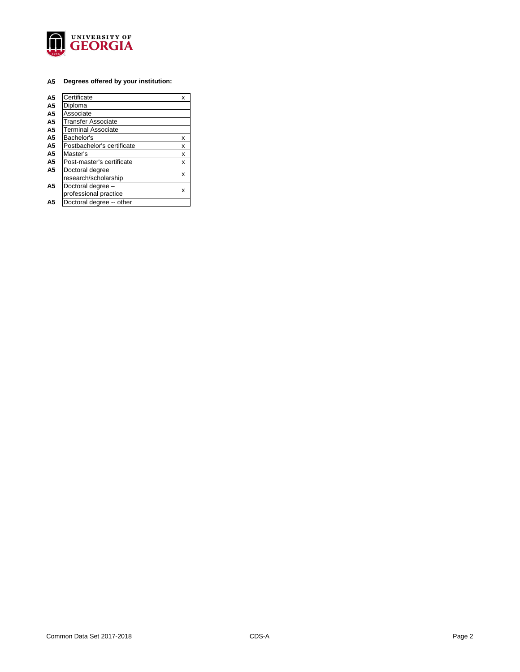

## **A5 Degrees offered by your institution:**

| A <sub>5</sub> | Certificate                | х |
|----------------|----------------------------|---|
| A <sub>5</sub> | Diploma                    |   |
| A <sub>5</sub> | Associate                  |   |
| A <sub>5</sub> | <b>Transfer Associate</b>  |   |
| A <sub>5</sub> | <b>Terminal Associate</b>  |   |
| A <sub>5</sub> | Bachelor's                 | x |
| A <sub>5</sub> | Postbachelor's certificate | x |
| A <sub>5</sub> | Master's                   | x |
| A <sub>5</sub> | Post-master's certificate  | x |
| A <sub>5</sub> | Doctoral degree            |   |
|                | research/scholarship       | x |
| A <sub>5</sub> | Doctoral degree -          |   |
|                | professional practice      | x |
| Α5             | Doctoral degree -- other   |   |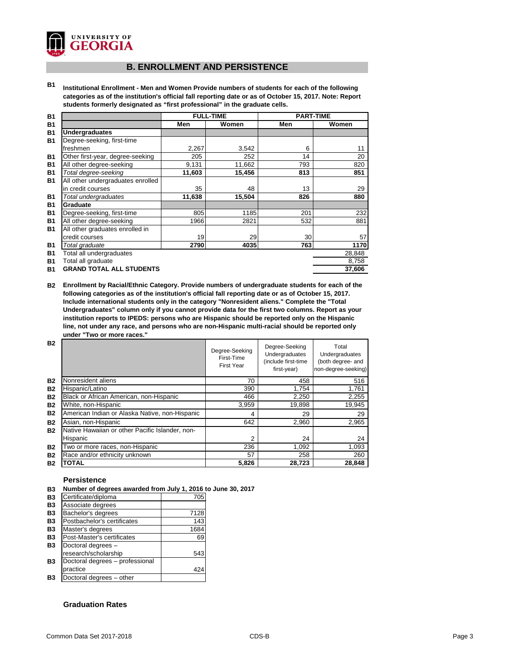

## **B. ENROLLMENT AND PERSISTENCE**

**B1 Institutional Enrollment - Men and Women Provide numbers of students for each of the following categories as of the institution's official fall reporting date or as of October 15, 2017. Note: Report students formerly designated as "first professional" in the graduate cells.**

| <b>B1</b> |                                   | <b>FULL-TIME</b> |        | <b>PART-TIME</b> |        |
|-----------|-----------------------------------|------------------|--------|------------------|--------|
| <b>B1</b> |                                   | Men              | Women  | Men              | Women  |
| <b>B1</b> | <b>Undergraduates</b>             |                  |        |                  |        |
| <b>B1</b> | Degree-seeking, first-time        |                  |        |                  |        |
|           | freshmen                          | 2,267            | 3,542  | 6                | 11     |
| <b>B1</b> | Other first-year, degree-seeking  | 205              | 252    | 14               | 20     |
| <b>B1</b> | All other degree-seeking          | 9,131            | 11,662 | 793              | 820    |
| <b>B1</b> | Total degree-seeking              | 11,603           | 15,456 | 813              | 851    |
| <b>B1</b> | All other undergraduates enrolled |                  |        |                  |        |
|           | in credit courses                 | 35               | 48     | 13               | 29     |
| <b>B1</b> | Total undergraduates              | 11,638           | 15,504 | 826              | 880    |
| <b>B1</b> | <b>Graduate</b>                   |                  |        |                  |        |
| <b>B1</b> | Degree-seeking, first-time        | 805              | 1185   | 201              | 232    |
| <b>B1</b> | All other degree-seeking          | 1966             | 2821   | 532              | 881    |
| <b>B1</b> | All other graduates enrolled in   |                  |        |                  |        |
|           | credit courses                    | 19               | 29     | 30 <sub>1</sub>  | 57     |
| <b>B1</b> | Total graduate                    | 2790             | 4035   | 763              | 1170   |
| <b>B1</b> | Total all undergraduates          |                  |        |                  | 28,848 |
| <b>B1</b> | Total all graduate                |                  |        |                  | 8,758  |
| <b>B1</b> | <b>GRAND TOTAL ALL STUDENTS</b>   |                  |        |                  | 37,606 |

**B2 Enrollment by Racial/Ethnic Category. Provide numbers of undergraduate students for each of the following categories as of the institution's official fall reporting date or as of October 15, 2017. Include international students only in the category "Nonresident aliens." Complete the "Total Undergraduates" column only if you cannot provide data for the first two columns. Report as your institution reports to IPEDS: persons who are Hispanic should be reported only on the Hispanic line, not under any race, and persons who are non-Hispanic multi-racial should be reported only under "Two or more races."** 

| <b>B2</b> |                                                 | Degree-Seeking<br>First-Time<br><b>First Year</b> | Degree-Seeking<br>Undergraduates<br>(include first-time<br>first-year) | Total<br>Undergraduates<br>(both degree- and<br>non-degree-seeking) |
|-----------|-------------------------------------------------|---------------------------------------------------|------------------------------------------------------------------------|---------------------------------------------------------------------|
| <b>B2</b> | Nonresident aliens                              | 70                                                | 458                                                                    | 516                                                                 |
| <b>B2</b> | Hispanic/Latino                                 | 390                                               | 1,754                                                                  | 1,761                                                               |
| <b>B2</b> | Black or African American, non-Hispanic         | 466                                               | 2,250                                                                  | 2,255                                                               |
| <b>B2</b> | White, non-Hispanic                             | 3,959                                             | 19,898                                                                 | 19,945                                                              |
| <b>B2</b> | American Indian or Alaska Native, non-Hispanic  | 4                                                 | 29                                                                     | 29                                                                  |
| <b>B2</b> | Asian, non-Hispanic                             | 642                                               | 2,960                                                                  | 2,965                                                               |
| <b>B2</b> | Native Hawaiian or other Pacific Islander, non- |                                                   |                                                                        |                                                                     |
|           | Hispanic                                        | 2                                                 | 24                                                                     | 24                                                                  |
| <b>B2</b> | Two or more races, non-Hispanic                 | 236                                               | 1,092                                                                  | 1,093                                                               |
| <b>B2</b> | Race and/or ethnicity unknown                   | 57                                                | 258                                                                    | 260                                                                 |
| <b>B2</b> | <b>TOTAL</b>                                    | 5,826                                             | 28,723                                                                 | 28,848                                                              |

## **Persistence**

**B3 Number of degrees awarded from July 1, 2016 to June 30, 2017**

| Certificate/diploma             | 705  |
|---------------------------------|------|
| Associate degrees               |      |
| Bachelor's degrees              | 7128 |
| Postbachelor's certificates     | 143  |
| Master's degrees                | 1684 |
| Post-Master's certificates      | 69   |
| Doctoral degrees -              |      |
| research/scholarship            | 543  |
| Doctoral degrees - professional |      |
| practice                        | 424  |
| Doctoral degrees - other        |      |

## **Graduation Rates**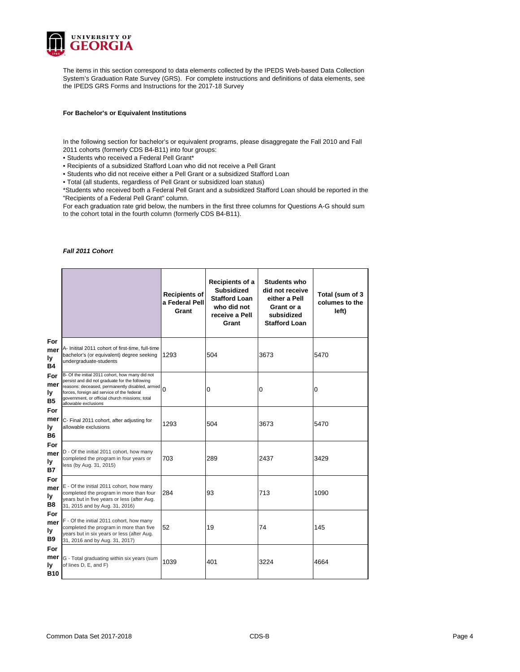

The items in this section correspond to data elements collected by the IPEDS Web-based Data Collection System's Graduation Rate Survey (GRS). For complete instructions and definitions of data elements, see the IPEDS GRS Forms and Instructions for the 2017-18 Survey

### **For Bachelor's or Equivalent Institutions**

In the following section for bachelor's or equivalent programs, please disaggregate the Fall 2010 and Fall 2011 cohorts (formerly CDS B4-B11) into four groups:

• Students who received a Federal Pell Grant\*

• Recipients of a subsidized Stafford Loan who did not receive a Pell Grant

• Students who did not receive either a Pell Grant or a subsidized Stafford Loan

• Total (all students, regardless of Pell Grant or subsidized loan status)

\*Students who received both a Federal Pell Grant and a subsidized Stafford Loan should be reported in the "Recipients of a Federal Pell Grant" column.

For each graduation rate grid below, the numbers in the first three columns for Questions A-G should sum to the cohort total in the fourth column (formerly CDS B4-B11).

#### *Fall 2011 Cohort*

|                                       |                                                                                                                                                                                                                                                                             | <b>Recipients of</b><br>a Federal Pell<br>Grant | Recipients of a<br><b>Subsidized</b><br><b>Stafford Loan</b><br>who did not<br>receive a Pell<br>Grant | <b>Students who</b><br>did not receive<br>either a Pell<br>Grant or a<br>subsidized<br><b>Stafford Loan</b> | Total (sum of 3<br>columes to the<br>left) |
|---------------------------------------|-----------------------------------------------------------------------------------------------------------------------------------------------------------------------------------------------------------------------------------------------------------------------------|-------------------------------------------------|--------------------------------------------------------------------------------------------------------|-------------------------------------------------------------------------------------------------------------|--------------------------------------------|
| For<br>mer<br>ly<br><b>B4</b>         | A- Initital 2011 cohort of first-time, full-time<br>bachelor's (or equivalent) degree seeking<br>undergraduate-students                                                                                                                                                     | 1293                                            | 504                                                                                                    | 3673                                                                                                        | 5470                                       |
| For<br>mer<br>ly<br><b>B5</b>         | B- Of the initial 2011 cohort, how many did not<br>persist and did not graduate for the following<br>reasons: deceased, permanently disabled, armed<br>forces, foreign aid service of the federal<br>government, or official church missions; total<br>allowable exclusions | $\Omega$                                        | 0                                                                                                      | 0                                                                                                           | 0                                          |
| For<br>mer<br>ly<br><b>B6</b>         | C- Final 2011 cohort, after adjusting for<br>allowable exclusions                                                                                                                                                                                                           | 1293                                            | 504                                                                                                    | 3673                                                                                                        | 5470                                       |
| For<br>mer<br>ly<br><b>B7</b>         | D - Of the initial 2011 cohort, how many<br>completed the program in four years or<br>less (by Aug. 31, 2015)                                                                                                                                                               | 703                                             | 289                                                                                                    | 2437                                                                                                        | 3429                                       |
| For<br>mer<br>ly<br><b>B8</b>         | E - Of the initial 2011 cohort, how many<br>completed the program in more than four<br>years but in five years or less (after Aug.<br>31, 2015 and by Aug. 31, 2016)                                                                                                        | 284                                             | 93                                                                                                     | 713                                                                                                         | 1090                                       |
| For<br>mer<br>ly<br><b>B9</b>         | F - Of the initial 2011 cohort, how many<br>completed the program in more than five<br>years but in six years or less (after Aug.<br>31, 2016 and by Aug. 31, 2017)                                                                                                         | 52                                              | 19                                                                                                     | 74                                                                                                          | 145                                        |
| For<br>mer<br><b>ly</b><br><b>B10</b> | G - Total graduating within six years (sum<br>of lines D, E, and F)                                                                                                                                                                                                         | 1039                                            | 401                                                                                                    | 3224                                                                                                        | 4664                                       |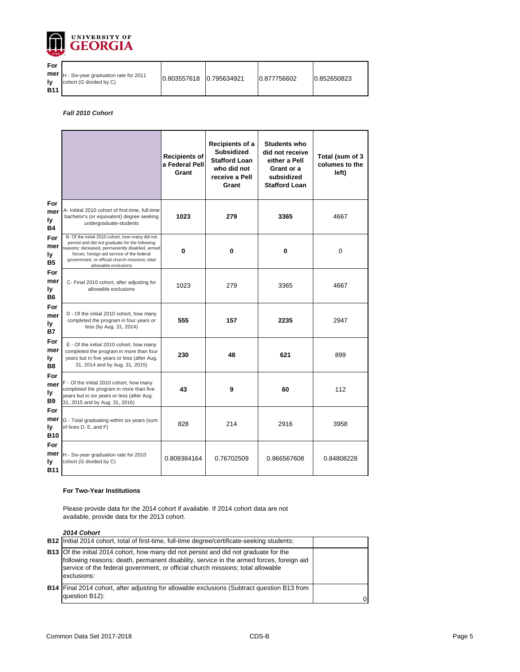

| For               |                                                                              |             |             |              |             |
|-------------------|------------------------------------------------------------------------------|-------------|-------------|--------------|-------------|
| lv.<br><b>B11</b> | <b>mer</b>  H - Six-year graduation rate for 2011<br>cohort (G divided by C) | 0.803557618 | 0.795634921 | 10.877756602 | 0.852650823 |

## *Fall 2010 Cohort*

|                                       |                                                                                                                                                                                                                                                                             | <b>Recipients of</b><br>a Federal Pell<br>Grant | Recipients of a<br><b>Subsidized</b><br><b>Stafford Loan</b><br>who did not<br>receive a Pell<br>Grant | <b>Students who</b><br>did not receive<br>either a Pell<br>Grant or a<br>subsidized<br><b>Stafford Loan</b> | Total (sum of 3<br>columes to the<br>left) |
|---------------------------------------|-----------------------------------------------------------------------------------------------------------------------------------------------------------------------------------------------------------------------------------------------------------------------------|-------------------------------------------------|--------------------------------------------------------------------------------------------------------|-------------------------------------------------------------------------------------------------------------|--------------------------------------------|
| For<br>mer<br>ly<br><b>B4</b>         | A- Initital 2010 cohort of first-time, full-time<br>bachelor's (or equivalent) degree seeking<br>undergraduate-students                                                                                                                                                     | 1023                                            | 279                                                                                                    | 3365                                                                                                        | 4667                                       |
| For<br>mer<br>ly<br><b>B5</b>         | B- Of the initial 2010 cohort, how many did not<br>persist and did not graduate for the following<br>reasons: deceased, permanently disabled, armed<br>forces, foreign aid service of the federal<br>government, or official church missions; total<br>allowable exclusions | 0                                               | 0                                                                                                      | 0                                                                                                           | 0                                          |
| For<br>mer<br>ly<br><b>B6</b>         | C- Final 2010 cohort, after adjusting for<br>allowable exclusions                                                                                                                                                                                                           | 1023                                            | 279                                                                                                    | 3365                                                                                                        | 4667                                       |
| For<br>mer<br>ly<br><b>B7</b>         | D - Of the initial 2010 cohort, how many<br>completed the program in four years or<br>less (by Aug. 31, 2014)                                                                                                                                                               | 555                                             | 157                                                                                                    | 2235                                                                                                        | 2947                                       |
| For<br>mer<br>Iу<br>B <sub>8</sub>    | E - Of the initial 2010 cohort, how many<br>completed the program in more than four<br>years but in five years or less (after Aug.<br>31, 2014 and by Aug. 31, 2015)                                                                                                        | 230                                             | 48                                                                                                     | 621                                                                                                         | 899                                        |
| For<br>mer<br>ly<br><b>B9</b>         | F - Of the initial 2010 cohort, how many<br>completed the program in more than five<br>years but in six years or less (after Aug.<br>31, 2015 and by Aug. 31, 2016)                                                                                                         | 43                                              | 9                                                                                                      | 60                                                                                                          | 112                                        |
| For<br>mer<br><b>ly</b><br><b>B10</b> | G - Total graduating within six years (sum<br>of lines D, E, and F)                                                                                                                                                                                                         | 828                                             | 214                                                                                                    | 2916                                                                                                        | 3958                                       |
| For<br>mer<br><b>ly</b><br><b>B11</b> | H - Six-year graduation rate for 2010<br>cohort (G divided by C)                                                                                                                                                                                                            | 0.809384164                                     | 0.76702509                                                                                             | 0.866567608                                                                                                 | 0.84808228                                 |

### **For Two-Year Institutions**

Please provide data for the 2014 cohort if available. If 2014 cohort data are not available, provide data for the 2013 cohort.

#### *2014 Cohort*

| <b>B12</b> Initial 2014 cohort, total of first-time, full-time degree/certificate-seeking students:                                                                                                                                                                                        |  |
|--------------------------------------------------------------------------------------------------------------------------------------------------------------------------------------------------------------------------------------------------------------------------------------------|--|
| <b>B13</b> Of the initial 2014 cohort, how many did not persist and did not graduate for the<br>following reasons: death, permanent disability, service in the armed forces, foreign aid<br>service of the federal government, or official church missions; total allowable<br>exclusions: |  |
| <b>B14</b> Final 2014 cohort, after adjusting for allowable exclusions (Subtract question B13 from<br>question B12):                                                                                                                                                                       |  |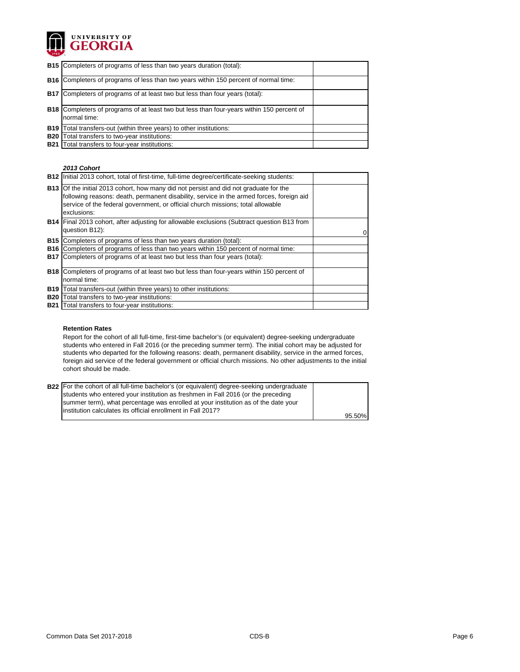

| <b>B15</b> Completers of programs of less than two years duration (total):                                       |  |
|------------------------------------------------------------------------------------------------------------------|--|
| <b>B16</b> Completers of programs of less than two years within 150 percent of normal time:                      |  |
| <b>B17</b> Completers of programs of at least two but less than four years (total):                              |  |
| <b>B18</b> Completers of programs of at least two but less than four-years within 150 percent of<br>normal time: |  |
| <b>B19</b> Total transfers-out (within three years) to other institutions:                                       |  |
| <b>B20</b> Total transfers to two-year institutions:                                                             |  |
| <b>B21</b> Total transfers to four-year institutions:                                                            |  |

#### *2013 Cohort*

|            | B12   Initial 2013 cohort, total of first-time, full-time degree/certificate-seeking students:                                                                                                                                                                                             |  |
|------------|--------------------------------------------------------------------------------------------------------------------------------------------------------------------------------------------------------------------------------------------------------------------------------------------|--|
|            | <b>B13</b> Of the initial 2013 cohort, how many did not persist and did not graduate for the<br>following reasons: death, permanent disability, service in the armed forces, foreign aid<br>service of the federal government, or official church missions; total allowable<br>exclusions: |  |
|            | B14 Final 2013 cohort, after adjusting for allowable exclusions (Subtract question B13 from<br>question B12):                                                                                                                                                                              |  |
|            | <b>B15</b> Completers of programs of less than two years duration (total):                                                                                                                                                                                                                 |  |
|            | <b>B16</b> Completers of programs of less than two years within 150 percent of normal time:                                                                                                                                                                                                |  |
|            | B17 Completers of programs of at least two but less than four years (total):                                                                                                                                                                                                               |  |
|            | <b>B18</b> Completers of programs of at least two but less than four-years within 150 percent of<br>normal time:                                                                                                                                                                           |  |
|            | <b>B19</b> Total transfers-out (within three years) to other institutions:                                                                                                                                                                                                                 |  |
| <b>B20</b> | Total transfers to two-year institutions:                                                                                                                                                                                                                                                  |  |
|            |                                                                                                                                                                                                                                                                                            |  |
| <b>B21</b> | Total transfers to four-year institutions:                                                                                                                                                                                                                                                 |  |

## **Retention Rates**

Report for the cohort of all full-time, first-time bachelor's (or equivalent) degree-seeking undergraduate students who entered in Fall 2016 (or the preceding summer term). The initial cohort may be adjusted for students who departed for the following reasons: death, permanent disability, service in the armed forces, foreign aid service of the federal government or official church missions. No other adjustments to the initial cohort should be made.

| <b>B22</b> For the cohort of all full-time bachelor's (or equivalent) degree-seeking undergraduate |        |
|----------------------------------------------------------------------------------------------------|--------|
|                                                                                                    |        |
| students who entered your institution as freshmen in Fall 2016 (or the preceding                   |        |
| summer term), what percentage was enrolled at your institution as of the date your                 |        |
| linstitution calculates its official enrollment in Fall 2017?                                      |        |
|                                                                                                    | 95.50% |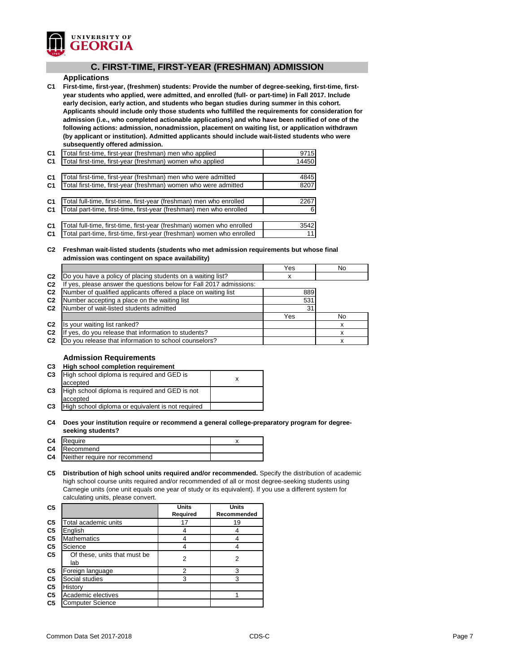

## **C. FIRST-TIME, FIRST-YEAR (FRESHMAN) ADMISSION**

## **Applications**

**C1 First-time, first-year, (freshmen) students: Provide the number of degree-seeking, first-time, firstyear students who applied, were admitted, and enrolled (full- or part-time) in Fall 2017. Include early decision, early action, and students who began studies during summer in this cohort. Applicants should include only those students who fulfilled the requirements for consideration for admission (i.e., who completed actionable applications) and who have been notified of one of the following actions: admission, nonadmission, placement on waiting list, or application withdrawn (by applicant or institution). Admitted applicants should include wait-listed students who were subsequently offered admission.**

| C <sub>1</sub> | Total first-time, first-year (freshman) men who applied               | 9715  |
|----------------|-----------------------------------------------------------------------|-------|
| <b>C1</b>      | Total first-time, first-year (freshman) women who applied             | 14450 |
|                |                                                                       |       |
| C <sub>1</sub> | Total first-time, first-year (freshman) men who were admitted         | 4845  |
| C <sub>1</sub> | Total first-time, first-year (freshman) women who were admitted       | 8207  |
|                |                                                                       |       |
| C <sub>1</sub> | Total full-time, first-time, first-year (freshman) men who enrolled   | 2267  |
| C <sub>1</sub> | Total part-time, first-time, first-year (freshman) men who enrolled   |       |
|                |                                                                       |       |
| C <sub>1</sub> | Total full-time, first-time, first-year (freshman) women who enrolled | 3542  |
| C <sub>1</sub> | Total part-time, first-time, first-year (freshman) women who enrolled | 11    |

## **C2 Freshman wait-listed students (students who met admission requirements but whose final admission was contingent on space availability)**

|                                                                  | Yes | No  |
|------------------------------------------------------------------|-----|-----|
| Do you have a policy of placing students on a waiting list?      | х   |     |
| yes, please answer the questions below for Fall 2017 admissions: |     |     |
| Number of qualified applicants offered a place on waiting list   | 889 |     |
| Number accepting a place on the waiting list                     | 531 |     |
| Number of wait-listed students admitted                          | 31  |     |
|                                                                  | Yes | No. |
| Is your waiting list ranked?                                     |     |     |
| yes, do you release that information to students?                |     |     |
| Do you release that information to school counselors?            |     |     |
|                                                                  |     |     |

## **Admission Requirements**

| C <sub>3</sub> | <b>High school completion requirement</b>         |   |  |  |
|----------------|---------------------------------------------------|---|--|--|
| C <sub>3</sub> | High school diploma is required and GED is        | x |  |  |
|                | accepted                                          |   |  |  |
| C <sub>3</sub> | High school diploma is required and GED is not    |   |  |  |
|                | accepted                                          |   |  |  |
| C <sub>3</sub> | High school diploma or equivalent is not required |   |  |  |
|                |                                                   |   |  |  |

## **C4 Does your institution require or recommend a general college-preparatory program for degreeseeking students?**

| C4 Require                              |  |
|-----------------------------------------|--|
| <b>C4</b> Recommend                     |  |
| <b>C4</b> Neither require nor recommend |  |
|                                         |  |

**C5 Distribution of high school units required and/or recommended.** Specify the distribution of academic high school course units required and/or recommended of all or most degree-seeking students using Carnegie units (one unit equals one year of study or its equivalent). If you use a different system for calculating units, please convert.

|                              | Units           | Units       |
|------------------------------|-----------------|-------------|
|                              | <b>Required</b> | Recommended |
| Total academic units         | 17              | 19          |
| English                      |                 |             |
| <b>Mathematics</b>           |                 |             |
| Science                      | 4               |             |
| Of these, units that must be |                 | 2           |
| lab                          |                 |             |
| Foreign language             | 2               | 3           |
| Social studies               | 3               | 3           |
| History                      |                 |             |
| Academic electives           |                 |             |
| <b>Computer Science</b>      |                 |             |
|                              |                 | 2           |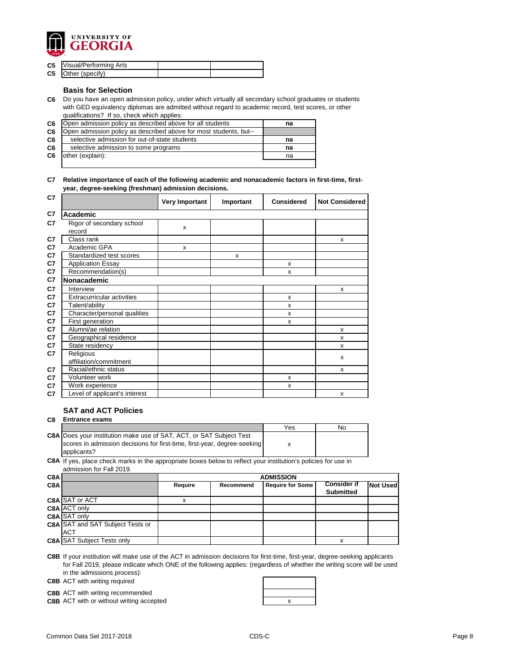

| <b>C5</b> Visual/Performing Arts |  |
|----------------------------------|--|
| <b>C5</b> Other (specify)        |  |

## **Basis for Selection**

**C6** Do you have an open admission policy, under which virtually all secondary school graduates or students with GED equivalency diplomas are admitted without regard to academic record, test scores, or other qualifications? If so, check which applies:

| C <sub>6</sub> | Open admission policy as described above for all students         | na |
|----------------|-------------------------------------------------------------------|----|
| C6             | Open admission policy as described above for most students, but-- |    |
| C <sub>6</sub> | selective admission for out-of-state students                     | na |
| C <sub>6</sub> | selective admission to some programs                              | na |
| C6             | other (explain):                                                  | na |
|                |                                                                   |    |

**C7 Relative importance of each of the following academic and nonacademic factors in first-time, firstyear, degree-seeking (freshman) admission decisions.**

| C7             |                                     | <b>Very Important</b> | Important | <b>Considered</b>         | <b>Not Considered</b> |
|----------------|-------------------------------------|-----------------------|-----------|---------------------------|-----------------------|
| C7             | <b>Academic</b>                     |                       |           |                           |                       |
| C <sub>7</sub> | Rigor of secondary school<br>record | $\pmb{\times}$        |           |                           |                       |
| C7             | Class rank                          |                       |           |                           | X                     |
| C7             | Academic GPA                        | X                     |           |                           |                       |
| C7             | Standardized test scores            |                       | X         |                           |                       |
| C <sub>7</sub> | <b>Application Essay</b>            |                       |           | X                         |                       |
| C7             | Recommendation(s)                   |                       |           | X                         |                       |
| C <sub>7</sub> | Nonacademic                         |                       |           |                           |                       |
| C <sub>7</sub> | Interview                           |                       |           |                           | X                     |
| C7             | <b>Extracurricular activities</b>   |                       |           | X                         |                       |
| C7             | Talent/ability                      |                       |           | X                         |                       |
| C7             | Character/personal qualities        |                       |           | X                         |                       |
| C <sub>7</sub> | First generation                    |                       |           | $\boldsymbol{\mathsf{x}}$ |                       |
| C <sub>7</sub> | Alumni/ae relation                  |                       |           |                           | $\mathsf{x}$          |
| C7             | Geographical residence              |                       |           |                           | $\mathsf{x}$          |
| C7             | State residency                     |                       |           |                           | X                     |
| C7             | Religious<br>affiliation/commitment |                       |           |                           | X                     |
| C <sub>7</sub> | Racial/ethnic status                |                       |           |                           | X                     |
| C <sub>7</sub> | Volunteer work                      |                       |           | X                         |                       |
| C7             | Work experience                     |                       |           | X                         |                       |
| C7             | Level of applicant's interest       |                       |           |                           | X                     |

## **SAT and ACT Policies**

**C8 Entrance exams** 

|                                                                            | Yes | No |
|----------------------------------------------------------------------------|-----|----|
| <b>C8A</b> Does your institution make use of SAT, ACT, or SAT Subject Test |     |    |
| scores in admission decisions for first-time, first-year, degree-seeking   |     |    |
| applicants?                                                                |     |    |

**C8A** If yes, place check marks in the appropriate boxes below to reflect your institution's policies for use in admission for Fall 2019.

| C8A |                                         | <b>ADMISSION</b> |           |                         |                    |                 |
|-----|-----------------------------------------|------------------|-----------|-------------------------|--------------------|-----------------|
| C8A |                                         | <b>Require</b>   | Recommend | <b>Require for Some</b> | <b>Consider if</b> | <b>Not Used</b> |
|     |                                         |                  |           |                         | <b>Submitted</b>   |                 |
|     | C8A SAT or ACT                          |                  |           |                         |                    |                 |
|     | <b>C8A ACT only</b>                     |                  |           |                         |                    |                 |
|     | C8A SAT only                            |                  |           |                         |                    |                 |
|     | <b>C8A SAT and SAT Subject Tests or</b> |                  |           |                         |                    |                 |
|     | <b>ACT</b>                              |                  |           |                         |                    |                 |
|     | <b>C8A SAT Subject Tests only</b>       |                  |           |                         | x                  |                 |

**C8B** If your institution will make use of the ACT in admission decisions for first-time, first-year, degree-seeking applicants for Fall 2019, please indicate which ONE of the following applies: (regardless of whether the writing score will be used in the admissions process):

**C8B** ACT with writing required

**C8B** ACT with writing recommended

**C8B** ACT with or without writing accepted **ACT X EXECUTE:** THE **X X** 

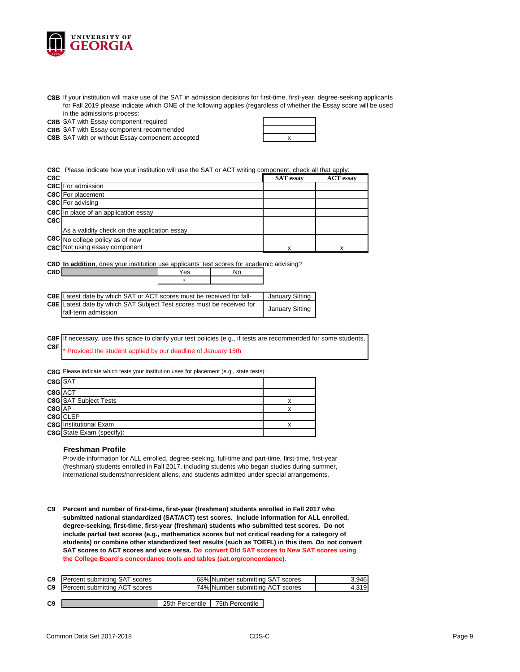

**C8B** If your institution will make use of the SAT in admission decisions for first-time, first-year, degree-seeking applicants for Fall 2019 please indicate which ONE of the following applies (regardless of whether the Essay score will be used in the admissions process:

**C8B** SAT with Essay component required

**C8B** SAT with Essay component recommended

**C8B** SAT with or without Essay component accepted **EXALL SET ASSESS** 

**C8C** Please indicate how your institution will use the SAT or ACT writing component; check all that apply:

|                                              | <b>SAT</b> essay | <b>ACT</b> essay |
|----------------------------------------------|------------------|------------------|
| <b>C8C</b> For admission                     |                  |                  |
| <b>C8C</b> For placement                     |                  |                  |
| C8C For advising                             |                  |                  |
| <b>C8C</b> In place of an application essay  |                  |                  |
|                                              |                  |                  |
| As a validity check on the application essay |                  |                  |
| C8C No college policy as of now              |                  |                  |
| <b>C8C</b> Not using essay component         | x                |                  |
|                                              |                  |                  |

**C8D In addition**, does your institution use applicants' test scores for academic advising?

| <b>C8E</b> Latest date by which SAT or ACT scores must be received for fall- |  | January Sitting        |
|------------------------------------------------------------------------------|--|------------------------|
| <b>C8E</b> Latest date by which SAT Subject Test scores must be received for |  |                        |
| fall-term admission                                                          |  | <b>January Sitting</b> |

**C8F C8F** Provided the student applied by our deadline of January 15th If necessary, use this space to clarify your test policies (e.g., if tests are recommended for some students,

**C8G** Please indicate which tests your institution uses for placement (e.g., state tests):

**C8D** Yes No

| C8G SAT  |                                  |  |
|----------|----------------------------------|--|
| C8G ACT  |                                  |  |
|          | <b>C8G</b> SAT Subject Tests     |  |
| $C8G$ AP |                                  |  |
|          | C8G CLEP                         |  |
|          | <b>C8G</b> Institutional Exam    |  |
|          | <b>C8G</b> State Exam (specify): |  |

#### **Freshman Profile**

Provide information for ALL enrolled, degree-seeking, full-time and part-time, first-time, first-year (freshman) students enrolled in Fall 2017, including students who began studies during summer, international students/nonresident aliens, and students admitted under special arrangements.

**C9 Percent and number of first-time, first-year (freshman) students enrolled in Fall 2017 who submitted national standardized (SAT/ACT) test scores. Include information for ALL enrolled, degree-seeking, first-time, first-year (freshman) students who submitted test scores. Do not include partial test scores (e.g., mathematics scores but not critical reading for a category of students) or combine other standardized test results (such as TOEFL) in this item.** *Do* **not convert SAT scores to ACT scores and vice versa.** *Do* **convert Old SAT scores to New SAT scores using the College Board's concordance tools and tables (sat.org/concordance).**

| C9 | Percent submitting SAT scores        |                 | 68% Number submitting SAT scores | 3,946 |
|----|--------------------------------------|-----------------|----------------------------------|-------|
| C9 | <b>Percent submitting ACT scores</b> |                 | 74% Number submitting ACT scores | 4,319 |
|    |                                      |                 |                                  |       |
| C9 |                                      | 25th Percentile | 75th Percentile                  |       |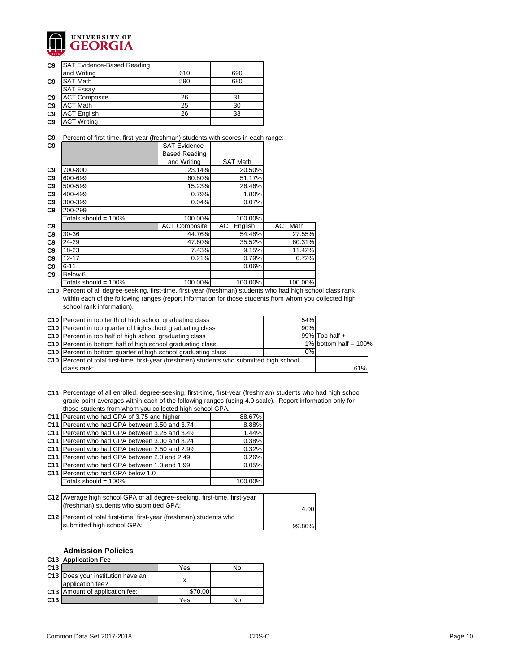

| C <sub>9</sub> | <b>SAT Evidence-Based Reading</b> |     |     |
|----------------|-----------------------------------|-----|-----|
|                | and Writing                       | 610 | 690 |
| C <sub>9</sub> | <b>SAT Math</b>                   | 590 | 680 |
|                | <b>SAT Essay</b>                  |     |     |
| C9             | <b>ACT Composite</b>              | 26  | 31  |
| C <sub>9</sub> | <b>ACT Math</b>                   | 25  | 30  |
| C9             | <b>ACT English</b>                | 26  | 33  |
| C <sub>9</sub> | <b>ACT Writing</b>                |     |     |

**C9** Percent of first-time, first-year (freshman) students with scores in each range:

| C9             |                         | <b>SAT Evidence-</b> |                    |                 |
|----------------|-------------------------|----------------------|--------------------|-----------------|
|                |                         | <b>Based Reading</b> |                    |                 |
|                |                         | and Writing          | <b>SAT Math</b>    |                 |
| C9             | 700-800                 | 23.14%               | 20.50%             |                 |
| C9             | 600-699                 | 60.80%               | 51.17%             |                 |
| C9             | 500-599                 | 15.23%               | 26.46%             |                 |
| C9             | 400-499                 | 0.79%                | 1.80%              |                 |
| C9             | 300-399                 | 0.04%                | 0.07%              |                 |
| C <sub>9</sub> | 200-299                 |                      |                    |                 |
|                | Totals should = $100\%$ | 100.00%              | 100.00%            |                 |
| C9             |                         | <b>ACT Composite</b> | <b>ACT English</b> | <b>ACT Math</b> |
| C <sub>9</sub> | 30-36                   | 44.76%               | 54.48%             | 27.55%          |
| C9             | 24-29                   | 47.60%               | 35.52%             | 60.31%          |
| C9             | 18-23                   | 7.43%                | 9.15%              | 11.42%          |
| C9             | 12-17                   | 0.21%                | 0.79%              | 0.72%           |
| C9             | $6 - 11$                |                      | 0.06%              |                 |
| C9             | Below <sub>6</sub>      |                      |                    |                 |
|                | Totals should = $100\%$ | 100.00%              | 100.00%            | 100.00%         |

**C10** Percent of all degree-seeking, first-time, first-year (freshman) students who had high school class rank within each of the following ranges (report information for those students from whom you collected high school rank information).

| C10 Percent in top tenth of high school graduating class                                  | 54% |                          |     |
|-------------------------------------------------------------------------------------------|-----|--------------------------|-----|
| C10 Percent in top quarter of high school graduating class                                | 90% |                          |     |
| C10 Percent in top half of high school graduating class                                   |     | $99\%$ Top half +        |     |
| C10 Percent in bottom half of high school graduating class                                |     | 1% bottom half = $100\%$ |     |
| <b>C10</b> Percent in bottom quarter of high school graduating class                      | 0%  |                          |     |
| C10 Percent of total first-time, first-year (freshmen) students who submitted high school |     |                          |     |
| class rank:                                                                               |     |                          | 61% |

**C11** Percentage of all enrolled, degree-seeking, first-time, first-year (freshman) students who had high school grade-point averages within each of the following ranges (using 4.0 scale). Report information only for those students from whom you collected high school GPA.

| C11   Percent who had GPA of 3.75 and higher   | 88.67%  |
|------------------------------------------------|---------|
| C11 Percent who had GPA between 3.50 and 3.74  | 8.88%   |
| C11 Percent who had GPA between 3.25 and 3.49  | 1.44%   |
| C11 Percent who had GPA between 3.00 and 3.24  | 0.38%   |
| C11 Percent who had GPA between 2.50 and 2.99  | 0.32%   |
| C11 Percent who had GPA between 2.0 and 2.49   | 0.26%   |
| C11   Percent who had GPA between 1.0 and 1.99 | 0.05%   |
| C11   Percent who had GPA below 1.0            |         |
| Totals should = $100\%$                        | 100.00% |
|                                                |         |

| C12 Average high school GPA of all degree-seeking, first-time, first-year<br>(freshman) students who submitted GPA: | 4.00l  |
|---------------------------------------------------------------------------------------------------------------------|--------|
| C12   Percent of total first-time, first-year (freshman) students who                                               |        |
| submitted high school GPA:                                                                                          | 99.80% |

## **Admission Policies**

## **C13 Application Fee**

| C <sub>13</sub> |                                                       | Yes     | סוא |
|-----------------|-------------------------------------------------------|---------|-----|
|                 | C13 Does your institution have an<br>application fee? |         |     |
|                 | C13 Amount of application fee:                        | \$70.00 |     |
| C <sub>13</sub> |                                                       | Yes     | N۵  |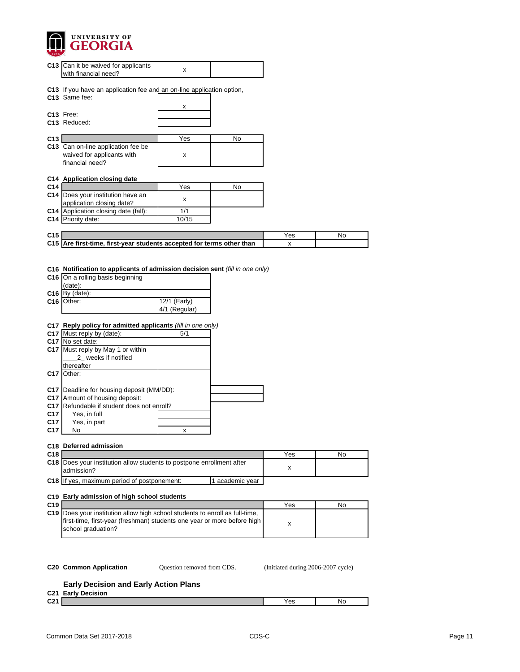

|                                                                                        | C13   Can it be waived for applicants<br>with financial need?                                                                                                                                                                                                                                                                                                                                                                                                                                                                                                          | х                                         |                 |     |    |
|----------------------------------------------------------------------------------------|------------------------------------------------------------------------------------------------------------------------------------------------------------------------------------------------------------------------------------------------------------------------------------------------------------------------------------------------------------------------------------------------------------------------------------------------------------------------------------------------------------------------------------------------------------------------|-------------------------------------------|-----------------|-----|----|
|                                                                                        | C13 If you have an application fee and an on-line application option,<br>C13 Same fee:                                                                                                                                                                                                                                                                                                                                                                                                                                                                                 |                                           |                 |     |    |
|                                                                                        |                                                                                                                                                                                                                                                                                                                                                                                                                                                                                                                                                                        | X                                         |                 |     |    |
|                                                                                        | C13 Free:<br>C13 Reduced:                                                                                                                                                                                                                                                                                                                                                                                                                                                                                                                                              |                                           |                 |     |    |
|                                                                                        |                                                                                                                                                                                                                                                                                                                                                                                                                                                                                                                                                                        |                                           |                 |     |    |
| C13                                                                                    |                                                                                                                                                                                                                                                                                                                                                                                                                                                                                                                                                                        | Yes                                       | No              |     |    |
|                                                                                        | C13 Can on-line application fee be<br>waived for applicants with<br>financial need?                                                                                                                                                                                                                                                                                                                                                                                                                                                                                    | X                                         |                 |     |    |
|                                                                                        | C14 Application closing date                                                                                                                                                                                                                                                                                                                                                                                                                                                                                                                                           |                                           |                 |     |    |
| C14                                                                                    | C14 Does your institution have an                                                                                                                                                                                                                                                                                                                                                                                                                                                                                                                                      | Yes                                       | No              |     |    |
|                                                                                        | application closing date?                                                                                                                                                                                                                                                                                                                                                                                                                                                                                                                                              | x                                         |                 |     |    |
|                                                                                        | C14 Application closing date (fall):                                                                                                                                                                                                                                                                                                                                                                                                                                                                                                                                   | 1/1                                       |                 |     |    |
|                                                                                        | C14 Priority date:                                                                                                                                                                                                                                                                                                                                                                                                                                                                                                                                                     | 10/15                                     |                 |     |    |
| C <sub>15</sub>                                                                        |                                                                                                                                                                                                                                                                                                                                                                                                                                                                                                                                                                        |                                           |                 | Yes | No |
|                                                                                        | C15 Are first-time, first-year students accepted for terms other than                                                                                                                                                                                                                                                                                                                                                                                                                                                                                                  |                                           |                 | X   |    |
|                                                                                        |                                                                                                                                                                                                                                                                                                                                                                                                                                                                                                                                                                        |                                           |                 |     |    |
| C <sub>17</sub><br>C <sub>17</sub><br>C <sub>17</sub><br>C <sub>17</sub><br>C17<br>C17 | C16 Notification to applicants of admission decision sent (fill in one only)<br>C16 On a rolling basis beginning<br>(data):<br>$C16$ By (date):<br>C <sub>16</sub>   Other:<br>C17 Reply policy for admitted applicants (fill in one only)<br>C17 Must reply by (date):<br>C <sub>17</sub> IN <sub>o</sub> set date:<br>C17 Must reply by May 1 or within<br>2_ weeks if notified<br>thereafter<br>Other:<br>C17   Deadline for housing deposit (MM/DD):<br>Amount of housing deposit:<br>Refundable if student does not enroll?<br>Yes, in full<br>Yes, in part<br>No | 12/1 (Early)<br>4/1 (Regular)<br>5/1<br>x |                 |     |    |
| C18                                                                                    | C18 Deferred admission                                                                                                                                                                                                                                                                                                                                                                                                                                                                                                                                                 |                                           |                 | Yes | No |
|                                                                                        | C18   Does your institution allow students to postpone enrollment after<br>admission?                                                                                                                                                                                                                                                                                                                                                                                                                                                                                  |                                           |                 | x   |    |
|                                                                                        | C18 If yes, maximum period of postponement:                                                                                                                                                                                                                                                                                                                                                                                                                                                                                                                            |                                           | 1 academic year |     |    |
| C19                                                                                    | C19 Early admission of high school students                                                                                                                                                                                                                                                                                                                                                                                                                                                                                                                            |                                           |                 | Yes | No |
|                                                                                        | C19   Does your institution allow high school students to enroll as full-time,                                                                                                                                                                                                                                                                                                                                                                                                                                                                                         |                                           |                 |     |    |
|                                                                                        | first-time, first-year (freshman) students one year or more before high<br>school graduation?                                                                                                                                                                                                                                                                                                                                                                                                                                                                          |                                           |                 | х   |    |
|                                                                                        |                                                                                                                                                                                                                                                                                                                                                                                                                                                                                                                                                                        |                                           |                 |     |    |

Question removed from CDS.

**C20 Common Application Question removed from CDS.** (Initiated during 2006-2007 cycle)

# **Early Decision and Early Action Plans**

**C21 Early Decision**

| <b>COA</b><br>◡▵ | ື | IN0 |
|------------------|---|-----|
|                  |   |     |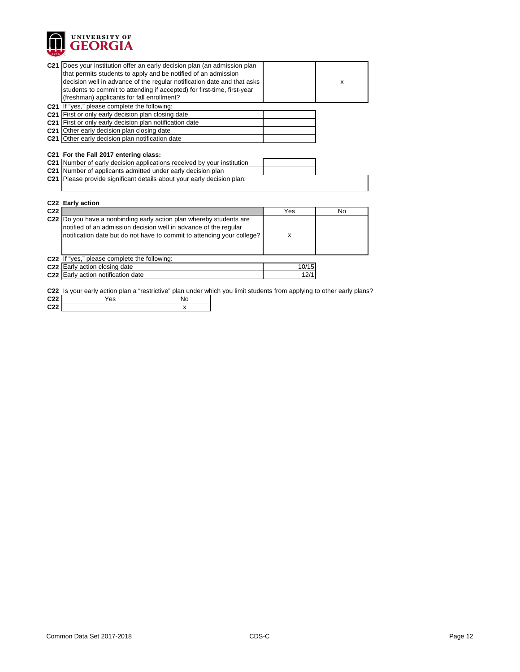

**C22** x

|                 | C21 Does your institution offer an early decision plan (an admission plan                                                          |       |           |
|-----------------|------------------------------------------------------------------------------------------------------------------------------------|-------|-----------|
|                 | that permits students to apply and be notified of an admission                                                                     |       |           |
|                 | decision well in advance of the regular notification date and that asks                                                            |       | X         |
|                 | students to commit to attending if accepted) for first-time, first-year                                                            |       |           |
|                 | (freshman) applicants for fall enrollment?                                                                                         |       |           |
|                 | C21 If "yes," please complete the following:                                                                                       |       |           |
|                 | C21 First or only early decision plan closing date                                                                                 |       |           |
|                 | C21 First or only early decision plan notification date                                                                            |       |           |
|                 | C21 Other early decision plan closing date                                                                                         |       |           |
|                 | C21 Other early decision plan notification date                                                                                    |       |           |
|                 |                                                                                                                                    |       |           |
|                 | C21 For the Fall 2017 entering class:                                                                                              |       |           |
|                 | C21  Number of early decision applications received by your institution                                                            |       |           |
|                 | C21 Number of applicants admitted under early decision plan                                                                        |       |           |
|                 | C21 Please provide significant details about your early decision plan:                                                             |       |           |
|                 |                                                                                                                                    |       |           |
|                 |                                                                                                                                    |       |           |
|                 |                                                                                                                                    |       |           |
|                 | C22 Early action                                                                                                                   |       |           |
| C <sub>22</sub> |                                                                                                                                    | Yes   | <b>No</b> |
|                 | C22 Do you have a nonbinding early action plan whereby students are                                                                |       |           |
|                 | notified of an admission decision well in advance of the regular                                                                   |       |           |
|                 | notification date but do not have to commit to attending your college?                                                             | X     |           |
|                 |                                                                                                                                    |       |           |
|                 |                                                                                                                                    |       |           |
|                 | C22 If "yes," please complete the following:                                                                                       |       |           |
|                 | C22 Early action closing date                                                                                                      | 10/15 |           |
|                 | C22 Early action notification date                                                                                                 | 12/1  |           |
|                 |                                                                                                                                    |       |           |
| C <sub>22</sub> | C22 Is your early action plan a "restrictive" plan under which you limit students from applying to other early plans?<br>No<br>Yes |       |           |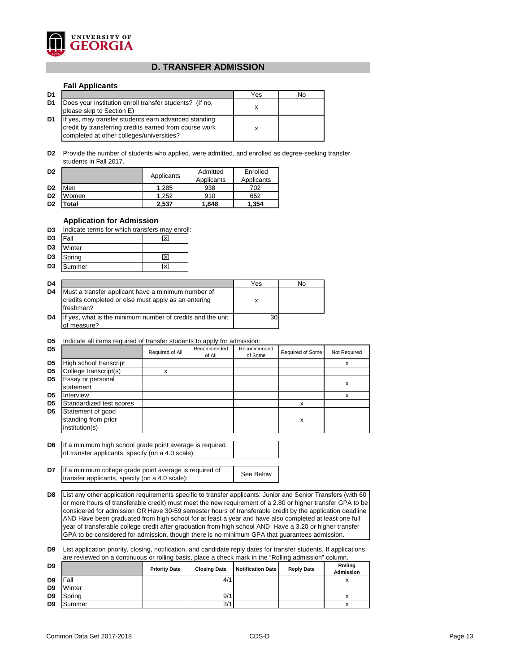

## **D. TRANSFER ADMISSION**

## **Fall Applicants**

| D1 |                                                                                                                                                             | Yes | No |
|----|-------------------------------------------------------------------------------------------------------------------------------------------------------------|-----|----|
| D1 | Does your institution enroll transfer students? (If no,<br>please skip to Section E)                                                                        |     |    |
| D1 | If yes, may transfer students earn advanced standing<br>credit by transferring credits earned from course work<br>completed at other colleges/universities? | x   |    |

**D2** Provide the number of students who applied, were admitted, and enrolled as degree-seeking transfer students in Fall 2017.

| D <sub>2</sub> |       | Applicants | Admitted<br>Applicants | Enrolled<br>Applicants |  |
|----------------|-------|------------|------------------------|------------------------|--|
| D <sub>2</sub> | Men   | 1.285      | 938                    | 702                    |  |
| D <sub>2</sub> | Women | 1.252      | 910                    | 652                    |  |
| D <sub>2</sub> | 'otal | 2,537      | 1.848                  | 1,354                  |  |

## **Application for Admission**

**D3** Indicate terms for which transfers may enroll:

| D <sub>3</sub> | Fall   |  |
|----------------|--------|--|
| D <sub>3</sub> | Winter |  |
| D <sub>3</sub> | Spring |  |
| D <sub>3</sub> | Summer |  |

| D4             |                                                                                                                        | Yes | No |
|----------------|------------------------------------------------------------------------------------------------------------------------|-----|----|
| D <sub>4</sub> | Must a transfer applicant have a minimum number of<br>credits completed or else must apply as an entering<br>freshman? | х   |    |
| D4             | If yes, what is the minimum number of credits and the unit<br>of measure?                                              | 30  |    |

## **D5** Indicate all items required of transfer students to apply for admission:

| D <sub>5</sub> |                                                            | Required of All | Recommended<br>of All | Recommended<br>of Some | Required of Some | Not Required |
|----------------|------------------------------------------------------------|-----------------|-----------------------|------------------------|------------------|--------------|
| D <sub>5</sub> | High school transcript                                     |                 |                       |                        |                  | ́            |
| D <sub>5</sub> | College transcript(s)                                      |                 |                       |                        |                  |              |
| D <sub>5</sub> | Essay or personal<br>statement                             |                 |                       |                        |                  | x            |
| D <sub>5</sub> | Interview                                                  |                 |                       |                        |                  |              |
| D <sub>5</sub> | Standardized test scores                                   |                 |                       |                        |                  |              |
| D <sub>5</sub> | Statement of good<br>standing from prior<br>institution(s) |                 |                       |                        | х                |              |

**D6** If a minimum high school grade point average is required of transfer applicants, specify (on a 4.0 scale):

**D7** If a minimum college grade point average is required of See Below transfer applicants, specify (on a 4.0 scale):

**D8** List any other application requirements specific to transfer applicants: Junior and Senior Transfers (with 60 or more hours of transferable credit) must meet the new requirement of a 2.80 or higher transfer GPA to be considered for admission OR Have 30-59 semester hours of transferable credit by the application deadline AND Have been graduated from high school for at least a year and have also completed at least one full year of transferable college credit after graduation from high school AND Have a 3.20 or higher transfer GPA to be considered for admission, though there is no minimum GPA that guarantees admission.

**D9** List application priority, closing, notification, and candidate reply dates for transfer students. If applications are reviewed on a continuous or rolling basis, place a check mark in the "Rolling admission" column.

| D <sub>9</sub> |        | <b>Priority Date</b> | <b>Closing Date</b> | <b>Notification Date</b> | <b>Reply Date</b> | <b>Rolling</b><br><b>Admission</b> |
|----------------|--------|----------------------|---------------------|--------------------------|-------------------|------------------------------------|
| D <sub>9</sub> | Fall   |                      | 4/1                 |                          |                   |                                    |
| D <sub>9</sub> | Winter |                      |                     |                          |                   |                                    |
| D <sub>9</sub> | Spring |                      | 9/1                 |                          |                   |                                    |
| D <sub>9</sub> | Summer |                      | 3/1                 |                          |                   |                                    |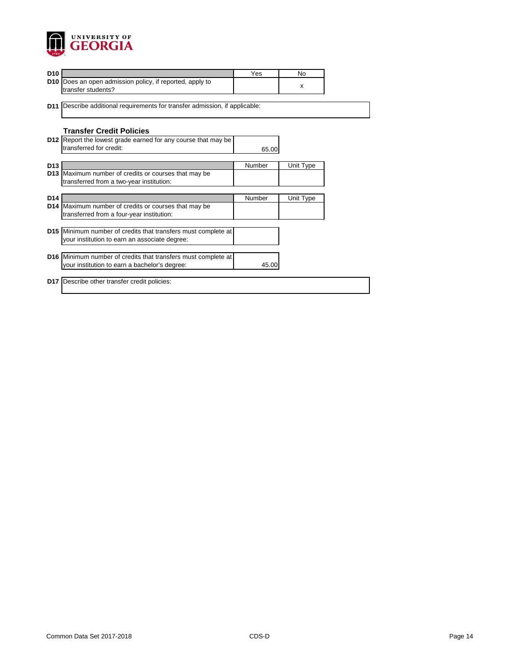

| D <sub>10</sub> |                                                                                                   | Yes           | <b>No</b> |
|-----------------|---------------------------------------------------------------------------------------------------|---------------|-----------|
| D <sub>10</sub> | Does an open admission policy, if reported, apply to<br>transfer students?                        |               | X         |
|                 |                                                                                                   |               |           |
|                 | <b>D11</b> Describe additional requirements for transfer admission, if applicable:                |               |           |
|                 |                                                                                                   |               |           |
|                 | <b>Transfer Credit Policies</b>                                                                   |               |           |
|                 | D12 Report the lowest grade earned for any course that may be                                     |               |           |
|                 | transferred for credit:                                                                           | 65.00         |           |
| <b>D13</b>      |                                                                                                   |               |           |
| D <sub>13</sub> | Maximum number of credits or courses that may be                                                  | Number        | Unit Type |
|                 | transferred from a two-year institution:                                                          |               |           |
|                 |                                                                                                   |               |           |
| D <sub>14</sub> |                                                                                                   | <b>Number</b> | Unit Type |
|                 | D14 Maximum number of credits or courses that may be<br>transferred from a four-year institution: |               |           |
|                 |                                                                                                   |               |           |
|                 | D15 Minimum number of credits that transfers must complete at                                     |               |           |
|                 | your institution to earn an associate degree:                                                     |               |           |
|                 |                                                                                                   |               |           |
|                 | D16 Minimum number of credits that transfers must complete at                                     |               |           |
|                 | your institution to earn a bachelor's degree:                                                     | 45.00         |           |
|                 | D17   Describe other transfer credit policies:                                                    |               |           |
|                 |                                                                                                   |               |           |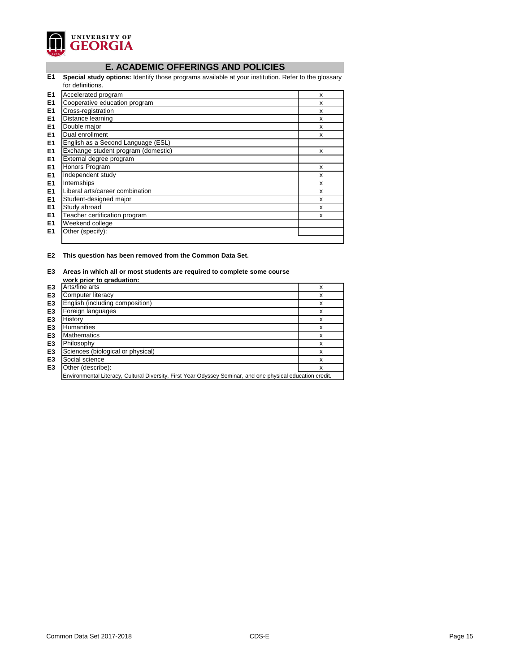

# **E. ACADEMIC OFFERINGS AND POLICIES**

**E1 Special study options:** Identify those programs available at your institution. Refer to the glossary for definitions.

|                | טו עסווווווטווס.                    |   |
|----------------|-------------------------------------|---|
| E <sub>1</sub> | Accelerated program                 | X |
| E <sub>1</sub> | Cooperative education program       | X |
| E <sub>1</sub> | Cross-registration                  | X |
| E1             | Distance learning                   | X |
| E <sub>1</sub> | Double major                        | X |
| E <sub>1</sub> | Dual enrollment                     | X |
| E <sub>1</sub> | English as a Second Language (ESL)  |   |
| E <sub>1</sub> | Exchange student program (domestic) | X |
| E1             | External degree program             |   |
| E1             | Honors Program                      | X |
| E <sub>1</sub> | Independent study                   | X |
| E <sub>1</sub> | Internships                         | X |
| E <sub>1</sub> | Liberal arts/career combination     | X |
| E <sub>1</sub> | Student-designed major              | X |
| E <sub>1</sub> | Study abroad                        | X |
| E1             | Teacher certification program       | X |
| E <sub>1</sub> | Weekend college                     |   |
| E <sub>1</sub> | Other (specify):                    |   |
|                |                                     |   |

**E2 This question has been removed from the Common Data Set.**

## **E3 Areas in which all or most students are required to complete some course**

|                | work prior to graduation:                                                                                  |   |
|----------------|------------------------------------------------------------------------------------------------------------|---|
| E <sub>3</sub> | Arts/fine arts                                                                                             | x |
| E <sub>3</sub> | Computer literacy                                                                                          | x |
| E <sub>3</sub> | English (including composition)                                                                            | х |
| E <sub>3</sub> | Foreign languages                                                                                          | х |
| E <sub>3</sub> | History                                                                                                    | х |
| E <sub>3</sub> | <b>Humanities</b>                                                                                          | х |
| E <sub>3</sub> | <b>Mathematics</b>                                                                                         | X |
| E <sub>3</sub> | Philosophy                                                                                                 | х |
| E <sub>3</sub> | Sciences (biological or physical)                                                                          | х |
| E <sub>3</sub> | Social science                                                                                             | х |
| E <sub>3</sub> | Other (describe):                                                                                          | х |
|                | Environmental Literacy, Cultural Diversity, First Year Odyssey Seminar, and one physical education credit. |   |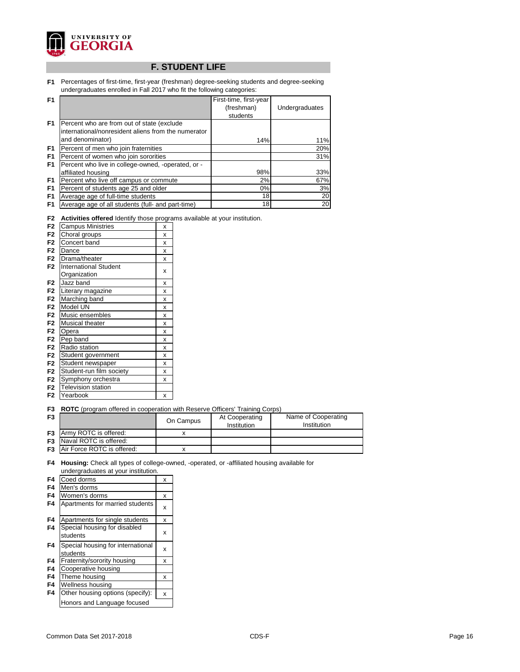

# **F. STUDENT LIFE**

**F1** Percentages of first-time, first-year (freshman) degree-seeking students and degree-seeking undergraduates enrolled in Fall 2017 who fit the following categories:

| F <sub>1</sub> |                                                     | First-time, first-year |                |
|----------------|-----------------------------------------------------|------------------------|----------------|
|                |                                                     | (freshman)             | Undergraduates |
|                |                                                     | students               |                |
| F <sub>1</sub> | Percent who are from out of state (exclude          |                        |                |
|                | international/nonresident aliens from the numerator |                        |                |
|                | and denominator)                                    | 14%                    | 11%            |
| F <sub>1</sub> | Percent of men who join fraternities                |                        | 20%            |
| F1             | Percent of women who join sororities                |                        | 31%            |
| F <sub>1</sub> | Percent who live in college-owned, -operated, or -  |                        |                |
|                | affiliated housing                                  | 98%                    | 33%            |
| F1             | Percent who live off campus or commute              | 2%                     | 67%            |
| F <sub>1</sub> | Percent of students age 25 and older                | $0\%$                  | 3%             |
| F <sub>1</sub> | Average age of full-time students                   | 18                     | 20             |
| F1             | Average age of all students (full- and part-time)   | 18                     | 20             |

|  | F2 Activities offered Identify those programs available at your institution. |  |  |  |
|--|------------------------------------------------------------------------------|--|--|--|
|--|------------------------------------------------------------------------------|--|--|--|

|                |                              | •ອ• |
|----------------|------------------------------|-----|
| F <sub>2</sub> | <b>Campus Ministries</b>     | x   |
| F <sub>2</sub> | Choral groups                | x   |
| F <sub>2</sub> | Concert band                 | X   |
| F <sub>2</sub> | Dance                        | X   |
| F <sub>2</sub> | Drama/theater                | X   |
| F <sub>2</sub> | <b>International Student</b> |     |
|                | Organization                 | X   |
| F <sub>2</sub> | Jazz band                    | X   |
| F <sub>2</sub> | Literary magazine            | X   |
| F <sub>2</sub> | Marching band                | X   |
| F <sub>2</sub> | Model UN                     | X   |
| F <sub>2</sub> | Music ensembles              | X   |
| F <sub>2</sub> | Musical theater              | X   |
| F <sub>2</sub> | Opera                        | X   |
| F <sub>2</sub> | Pep band                     | X   |
| F <sub>2</sub> | Radio station                | X   |
| F <sub>2</sub> | Student government           | X   |
| F <sub>2</sub> | Student newspaper            | X   |
| F <sub>2</sub> | Student-run film society     | x   |
| F <sub>2</sub> | Symphony orchestra           | x   |
| F <sub>2</sub> | <b>Television station</b>    |     |
| F <sub>2</sub> | Yearbook                     | X   |

**F3 ROTC** (program offered in cooperation with Reserve Officers' Training Corps)

| F <sub>3</sub> |                                        | On Campus | At Cooperating<br>Institution | Name of Cooperating<br><b>Institution</b> |
|----------------|----------------------------------------|-----------|-------------------------------|-------------------------------------------|
|                | <b>F3</b> Army ROTC is offered:        |           |                               |                                           |
|                | <b>F3</b> Naval ROTC is offered:       |           |                               |                                           |
|                | <b>F3</b>   Air Force ROTC is offered: |           |                               |                                           |

**F4 Housing:** Check all types of college-owned, -operated, or -affiliated housing available for undergraduates at your institution.

| Coed dorms                                    | X |
|-----------------------------------------------|---|
| Men's dorms                                   |   |
| Women's dorms                                 | x |
| Apartments for married students               | X |
| Apartments for single students                | х |
| Special housing for disabled<br>students      | X |
| Special housing for international<br>students | X |
| Fraternity/sorority housing                   | х |
| Cooperative housing                           |   |
| Theme housing                                 | х |
| Wellness housing                              |   |
| Other housing options (specify):              | x |
| Honors and Language focused                   |   |
|                                               |   |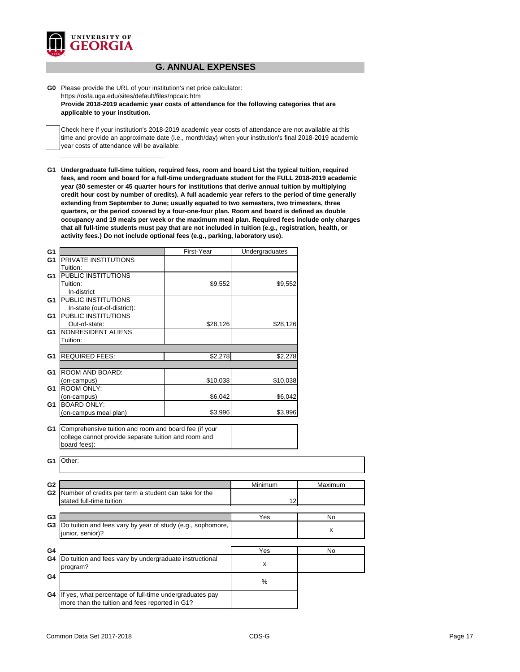

## **G. ANNUAL EXPENSES**

**G0** Please provide the URL of your institution's net price calculator: https://osfa.uga.edu/sites/default/files/npcalc.htm **Provide 2018-2019 academic year costs of attendance for the following categories that are applicable to your institution.**

Check here if your institution's 2018-2019 academic year costs of attendance are not available at this time and provide an approximate date (i.e., month/day) when your institution's final 2018-2019 academic year costs of attendance will be available:

**G1 Undergraduate full-time tuition, required fees, room and board List the typical tuition, required fees, and room and board for a full-time undergraduate student for the FULL 2018-2019 academic year (30 semester or 45 quarter hours for institutions that derive annual tuition by multiplying credit hour cost by number of credits). A full academic year refers to the period of time generally extending from September to June; usually equated to two semesters, two trimesters, three quarters, or the period covered by a four-one-four plan. Room and board is defined as double occupancy and 19 meals per week or the maximum meal plan. Required fees include only charges that all full-time students must pay that are not included in tuition (e.g., registration, health, or activity fees.) Do not include optional fees (e.g., parking, laboratory use).**

| G <sub>1</sub> |                                                             | First-Year | Undergraduates |         |
|----------------|-------------------------------------------------------------|------------|----------------|---------|
| G <sub>1</sub> | <b>PRIVATE INSTITUTIONS</b>                                 |            |                |         |
|                | Tuition:                                                    |            |                |         |
| G1             | <b>PUBLIC INSTITUTIONS</b>                                  |            |                |         |
|                | Tuition:                                                    | \$9,552    | \$9,552        |         |
|                | In-district                                                 |            |                |         |
| G1             | <b>PUBLIC INSTITUTIONS</b>                                  |            |                |         |
|                | In-state (out-of-district):                                 |            |                |         |
| G <sub>1</sub> | PUBLIC INSTITUTIONS                                         |            |                |         |
|                | Out-of-state:                                               | \$28,126   | \$28,126       |         |
| G <sub>1</sub> | NONRESIDENT ALIENS                                          |            |                |         |
|                | Tuition:                                                    |            |                |         |
|                |                                                             |            |                |         |
| G <sub>1</sub> | <b>REQUIRED FEES:</b>                                       | \$2,278    | \$2,278        |         |
|                |                                                             |            |                |         |
| G <sub>1</sub> | ROOM AND BOARD:                                             |            |                |         |
|                | (on-campus)                                                 | \$10,038   | \$10,038       |         |
| G <sub>1</sub> | <b>ROOM ONLY:</b>                                           |            |                |         |
|                | (on-campus)<br><b>BOARD ONLY:</b>                           | \$6,042    | \$6,042        |         |
| G <sub>1</sub> |                                                             | \$3,996    |                |         |
|                | (on-campus meal plan)                                       |            | \$3,996        |         |
| G <sub>1</sub> | Comprehensive tuition and room and board fee (if your       |            |                |         |
|                | college cannot provide separate tuition and room and        |            |                |         |
|                | board fees):                                                |            |                |         |
|                |                                                             |            |                |         |
| G <sub>1</sub> | Other:                                                      |            |                |         |
|                |                                                             |            |                |         |
|                |                                                             |            |                |         |
| G <sub>2</sub> |                                                             |            | Minimum        | Maximum |
| G <sub>2</sub> | Number of credits per term a student can take for the       |            |                |         |
|                | stated full-time tuition                                    |            | 12             |         |
|                |                                                             |            |                |         |
| G <sub>3</sub> |                                                             |            | Yes            | No      |
| G <sub>3</sub> | Do tuition and fees vary by year of study (e.g., sophomore, |            |                |         |
|                | junior, senior)?                                            |            |                | x       |
|                |                                                             |            |                |         |
| G4             |                                                             |            | Yes            | No      |
| G4             | Do tuition and fees vary by undergraduate instructional     |            |                |         |
|                | program?                                                    |            | X              |         |
| G4             |                                                             |            |                |         |
|                |                                                             |            | %              |         |
| G4             | If yes, what percentage of full-time undergraduates pay     |            |                |         |
|                | more than the tuition and fees reported in G1?              |            |                |         |
|                |                                                             |            |                |         |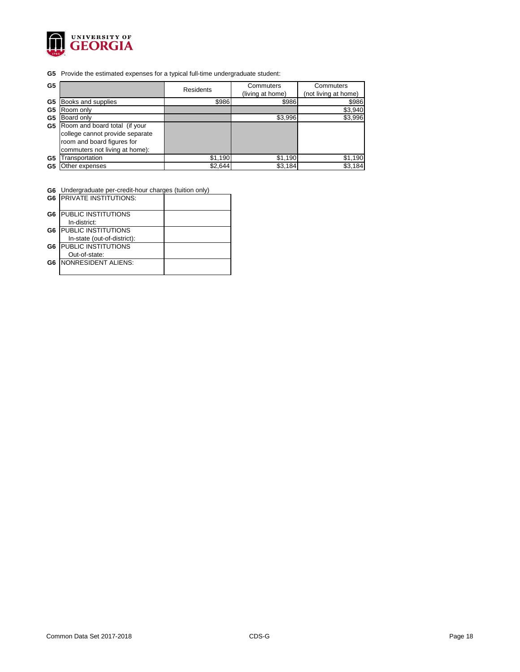

**G5** Provide the estimated expenses for a typical full-time undergraduate student:

| G <sub>5</sub> |                                                                                                                                  | <b>Residents</b> | Commuters<br>(living at home) | <b>Commuters</b><br>(not living at home) |
|----------------|----------------------------------------------------------------------------------------------------------------------------------|------------------|-------------------------------|------------------------------------------|
| G <sub>5</sub> | Books and supplies                                                                                                               | \$986            | \$986                         | \$986                                    |
| G <sub>5</sub> | Room only                                                                                                                        |                  |                               | \$3,940                                  |
| G5             | Board only                                                                                                                       |                  | \$3,996                       | \$3,996                                  |
| G5             | Room and board total (if your<br>college cannot provide separate<br>room and board figures for<br>commuters not living at home): |                  |                               |                                          |
| G <sub>5</sub> | Transportation                                                                                                                   | \$1,190          | \$1,190                       | \$1,190                                  |
| G5             | Other expenses                                                                                                                   | \$2,644          | \$3,184                       | \$3,184                                  |

**G6** Undergraduate per-credit-hour charges (tuition only)

|                | <b>G6   PRIVATE INSTITUTIONS:</b> |  |
|----------------|-----------------------------------|--|
| G <sub>6</sub> | <b>PUBLIC INSTITUTIONS</b>        |  |
|                | In-district:                      |  |
| G <sub>6</sub> | <b>PUBLIC INSTITUTIONS</b>        |  |
|                | In-state (out-of-district):       |  |
| G6             | <b>PUBLIC INSTITUTIONS</b>        |  |
|                | Out-of-state:                     |  |
| G6             | NONRESIDENT ALIENS:               |  |
|                |                                   |  |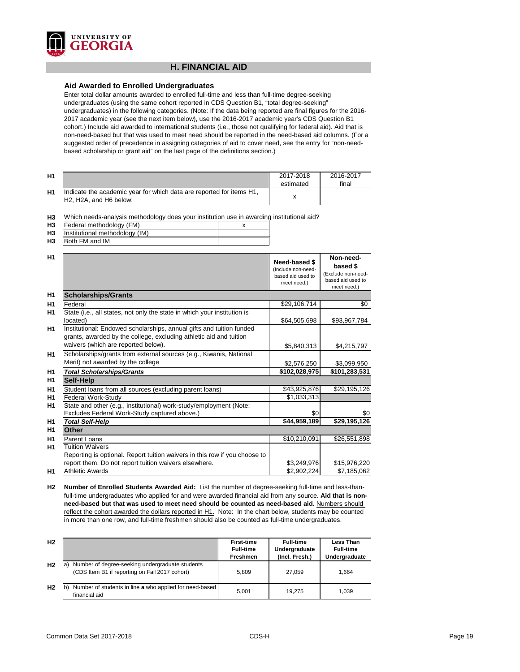

## **H. FINANCIAL AID**

## **Aid Awarded to Enrolled Undergraduates**

Enter total dollar amounts awarded to enrolled full-time and less than full-time degree-seeking undergraduates (using the same cohort reported in CDS Question B1, "total degree-seeking" undergraduates) in the following categories. (Note: If the data being reported are final figures for the 2016- 2017 academic year (see the next item below), use the 2016-2017 academic year's CDS Question B1 cohort.) Include aid awarded to international students (i.e., those not qualifying for federal aid). Aid that is non-need-based but that was used to meet need should be reported in the need-based aid columns. (For a suggested order of precedence in assigning categories of aid to cover need, see the entry for "non-needbased scholarship or grant aid" on the last page of the definitions section.)

| <b>H1</b> |                                                                                                                                      | 2017-2018<br>estimated | 2016-2017<br>final |
|-----------|--------------------------------------------------------------------------------------------------------------------------------------|------------------------|--------------------|
| <b>H1</b> | Indicate the academic year for which data are reported for items H1,<br>H <sub>2</sub> , H <sub>2</sub> A, and H <sub>6</sub> below: |                        |                    |

**H3** Which needs-analysis methodology does your institution use in awarding institutional aid?

| H <sub>3</sub> | Federal methodology (FM)       |  |
|----------------|--------------------------------|--|
| H <sub>3</sub> | Institutional methodology (IM) |  |
| H <sub>3</sub> | Both FM and IM                 |  |

| H1             |                                                                                                                                                                                   | Need-based \$<br>(Include non-need-<br>based aid used to<br>meet need.) | Non-need-<br>based \$<br>(Exclude non-need-<br>based aid used to<br>meet need.) |
|----------------|-----------------------------------------------------------------------------------------------------------------------------------------------------------------------------------|-------------------------------------------------------------------------|---------------------------------------------------------------------------------|
| H1             | <b>Scholarships/Grants</b>                                                                                                                                                        |                                                                         |                                                                                 |
| H <sub>1</sub> | Federal                                                                                                                                                                           | \$29,106,714                                                            | \$0                                                                             |
| H1             | State (i.e., all states, not only the state in which your institution is<br>located)                                                                                              | \$64,505,698                                                            | \$93,967,784                                                                    |
| H1             | Institutional: Endowed scholarships, annual gifts and tuition funded<br>grants, awarded by the college, excluding athletic aid and tuition<br>waivers (which are reported below). | \$5,840,313                                                             | \$4,215,797                                                                     |
| H1             | Scholarships/grants from external sources (e.g., Kiwanis, National<br>Merit) not awarded by the college                                                                           | \$2,576,250                                                             | \$3,099,950                                                                     |
| H <sub>1</sub> | <b>Total Scholarships/Grants</b>                                                                                                                                                  | \$102,028,975                                                           | \$101,283,531                                                                   |
| H <sub>1</sub> | <b>Self-Help</b>                                                                                                                                                                  |                                                                         |                                                                                 |
| H1             | Student loans from all sources (excluding parent loans)                                                                                                                           | \$43,925,876                                                            | \$29,195,126                                                                    |
| H1             | <b>Federal Work-Study</b>                                                                                                                                                         | \$1,033,313                                                             |                                                                                 |
| H <sub>1</sub> | State and other (e.g., institutional) work-study/employment (Note:                                                                                                                |                                                                         |                                                                                 |
|                | Excludes Federal Work-Study captured above.)                                                                                                                                      | \$0                                                                     | \$0                                                                             |
| H <sub>1</sub> | <b>Total Self-Help</b>                                                                                                                                                            | \$44,959,189                                                            | \$29,195,126                                                                    |
| H1             | <b>Other</b>                                                                                                                                                                      |                                                                         |                                                                                 |
| H1             | <b>Parent Loans</b>                                                                                                                                                               | \$10,210,091                                                            | \$26,551,898                                                                    |
| <b>H1</b>      | <b>Tuition Waivers</b>                                                                                                                                                            |                                                                         |                                                                                 |
|                | Reporting is optional. Report tuition waivers in this row if you choose to                                                                                                        |                                                                         |                                                                                 |
|                | report them. Do not report tuition waivers elsewhere.                                                                                                                             | \$3,249,976                                                             | \$15,976,220                                                                    |
| H1             | <b>Athletic Awards</b>                                                                                                                                                            | \$2,902,224                                                             | \$7,185,062                                                                     |

**H2 Number of Enrolled Students Awarded Aid:** List the number of degree-seeking full-time and less-thanfull-time undergraduates who applied for and were awarded financial aid from any source. **Aid that is nonneed-based but that was used to meet need should be counted as need-based aid.** Numbers should reflect the cohort awarded the dollars reported in H1. Note: In the chart below, students may be counted in more than one row, and full-time freshmen should also be counted as full-time undergraduates.

| H <sub>2</sub> |                                                                                                         | <b>First-time</b><br><b>Full-time</b><br><b>Freshmen</b> | <b>Full-time</b><br>Undergraduate<br>(Incl. Fresh.) | Less Than<br><b>Full-time</b><br>Undergraduate |
|----------------|---------------------------------------------------------------------------------------------------------|----------------------------------------------------------|-----------------------------------------------------|------------------------------------------------|
| H <sub>2</sub> | Number of degree-seeking undergraduate students<br>la<br>(CDS Item B1 if reporting on Fall 2017 cohort) | 5.809                                                    | 27.059                                              | 1.664                                          |
| H <sub>2</sub> | Number of students in line a who applied for need-based<br>financial aid                                | 5.001                                                    | 19.275                                              | 1.039                                          |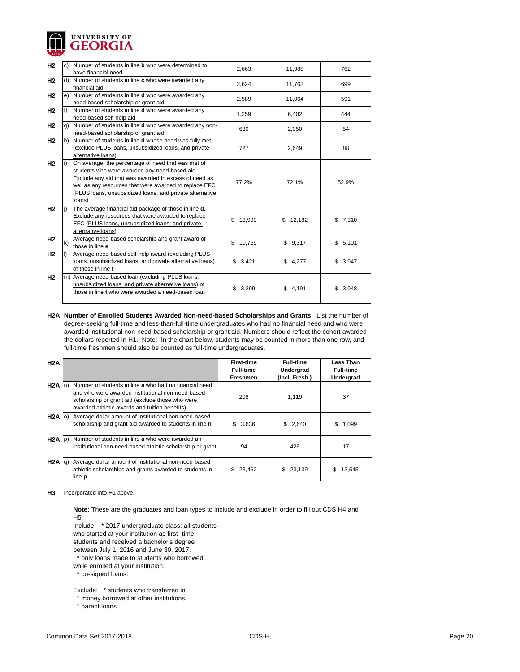

| H <sub>2</sub> |    | Number of students in line <b>b</b> who were determined to<br>have financial need                                                                                                                                                                                                            | 2,663        | 11,988       | 762         |
|----------------|----|----------------------------------------------------------------------------------------------------------------------------------------------------------------------------------------------------------------------------------------------------------------------------------------------|--------------|--------------|-------------|
| H <sub>2</sub> | d) | Number of students in line c who were awarded any<br>financial aid                                                                                                                                                                                                                           | 2,624        | 11,763       | 699         |
| H <sub>2</sub> | e) | Number of students in line d who were awarded any<br>need-based scholarship or grant aid                                                                                                                                                                                                     | 2,589        | 11,064       | 591         |
| H <sub>2</sub> |    | Number of students in line <b>d</b> who were awarded any<br>need-based self-help aid                                                                                                                                                                                                         | 1,259        | 6,402        | 444         |
| H <sub>2</sub> | g) | Number of students in line d who were awarded any non-<br>need-based scholarship or grant aid                                                                                                                                                                                                | 630          | 2,050        | 54          |
| H <sub>2</sub> | h) | Number of students in line d whose need was fully met<br>(exclude PLUS loans, unsubsidized loans, and private<br>alternative loans)                                                                                                                                                          | 727          | 2,649        | 88          |
| H <sub>2</sub> |    | On average, the percentage of need that was met of<br>students who were awarded any need-based aid.<br>Exclude any aid that was awarded in excess of need as<br>well as any resources that were awarded to replace EFC<br>(PLUS loans, unsubsidized loans, and private alternative<br>loans) | 77.2%        | 72.1%        | 52.9%       |
| H2             |    | The average financial aid package of those in line d.<br>Exclude any resources that were awarded to replace<br>EFC (PLUS loans, unsubsidized loans, and private<br>alternative loans)                                                                                                        | \$<br>13,999 | 12,182<br>\$ | 7,310<br>\$ |
| H <sub>2</sub> | k) | Average need-based scholarship and grant award of<br>those in line e                                                                                                                                                                                                                         | 10,769<br>\$ | \$9,317      | \$5,101     |
| H <sub>2</sub> |    | Average need-based self-help award (excluding PLUS<br>loans, unsubsidized loans, and private alternative loans)<br>of those in line f                                                                                                                                                        | \$<br>3,421  | \$<br>4,277  | 3,947<br>\$ |
| H <sub>2</sub> |    | m) Average need-based loan (excluding PLUS loans,<br>unsubsidized loans, and private alternative loans) of<br>those in line f who were awarded a need-based loan                                                                                                                             | \$<br>3,299  | \$<br>4,191  | 3,948<br>\$ |

**H2A Number of Enrolled Students Awarded Non-need-based Scholarships and Grants**: List the number of degree-seeking full-time and less-than-full-time undergraduates who had no financial need and who were awarded institutional non-need-based scholarship or grant aid. Numbers should reflect the cohort awarded the dollars reported in H1. Note: In the chart below, students may be counted in more than one row, and full-time freshmen should also be counted as full-time undergraduates.

| H2A               |                                                                                                                                                                                                                  | <b>First-time</b><br><b>Full-time</b><br><b>Freshmen</b> | <b>Full-time</b><br>Undergrad<br>(Incl. Fresh.) | <b>Less Than</b><br><b>Full-time</b><br><b>Undergrad</b> |
|-------------------|------------------------------------------------------------------------------------------------------------------------------------------------------------------------------------------------------------------|----------------------------------------------------------|-------------------------------------------------|----------------------------------------------------------|
| $H2A$ In)         | Number of students in line a who had no financial need<br>and who were awarded institutional non-need-based<br>scholarship or grant aid (exclude those who were<br>awarded athletic awards and tuition benefits) | 208                                                      | 1,119                                           | 37                                                       |
| $H2A$ (o)         | Average dollar amount of institutional non-need-based<br>scholarship and grant aid awarded to students in line n                                                                                                 | \$3,636                                                  | \$2,640                                         | 1,099<br>\$.                                             |
| $H2A$ $ p\rangle$ | Number of students in line a who were awarded an<br>institutional non-need-based athletic scholarship or grant                                                                                                   | 94                                                       | 426                                             | 17                                                       |
| $H2A$ $ q\rangle$ | Average dollar amount of institutional non-need-based<br>athletic scholarships and grants awarded to students in<br>line <b>p</b>                                                                                | 23,462                                                   | \$<br>23,139                                    | S<br>13,545                                              |

**H3** Incorporated into H1 above.

**Note:** These are the graduates and loan types to include and exclude in order to fill out CDS H4 and H5.

Include: \* 2017 undergraduate class: all students

who started at your institution as first- time

students and received a bachelor's degree

between July 1, 2016 and June 30, 2017.

\* only loans made to students who borrowed

while enrolled at your institution.

t co-signed loans.

Exclude: \* students who transferred in.

\* money borrowed at other institutions.

\* parent loans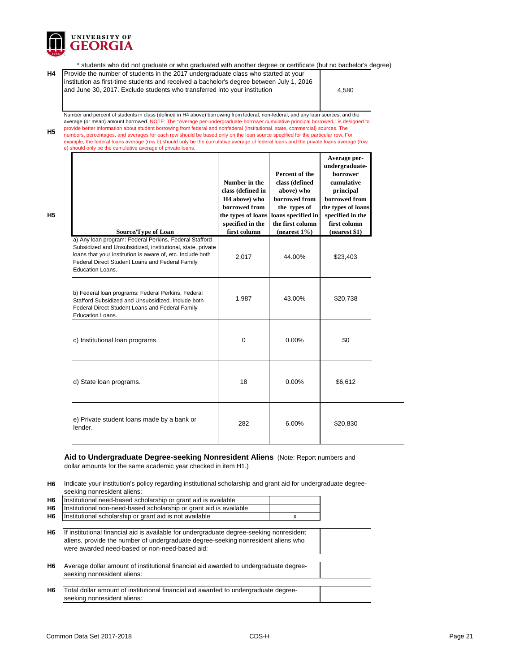

 \* students who did not graduate or who graduated with another degree or certificate (but no bachelor's degree) **H4** 4,580 **H5 Average perundergraduateborrower cumulative**  Number and percent of students in class (defined in H4 above) borrowing from federal, non-federal, and any loan sources, and the average (or mean) amount borrowed. NOTE: The "Average per-undergraduate-borrower cumulative principal borrowed," is designed to provide better information about student borrowing from federal and nonfederal (institutional, state, commercial) sources. The numbers, percentages, and averages for each row should be based only on the loan source specified for the particular row. For example, the federal loans average (row b) should only be the cumulative average of federal loans and the private loans average (row e) should only be the cumulative average of private loans. Provide the number of students in the 2017 undergraduate class who started at your institution as first-time students and received a bachelor's degree between July 1, 2016 and June 30, 2017. Exclude students who transferred into your institution **Percent of the class (defined Number in the** 

**H5**

| <b>Source/Type of Loan</b>                                                                                                                                                                                                                                | class (defined in<br>H <sub>4</sub> above) who<br>borrowed from<br>specified in the<br>first column | above) who<br>borrowed from<br>the types of<br>the types of loans   loans specified in<br>the first column<br>$(nearest 1\%)$ | principal<br>borrowed from<br>the types of loans<br>specified in the<br>first column<br>(nearest \$1) |
|-----------------------------------------------------------------------------------------------------------------------------------------------------------------------------------------------------------------------------------------------------------|-----------------------------------------------------------------------------------------------------|-------------------------------------------------------------------------------------------------------------------------------|-------------------------------------------------------------------------------------------------------|
| a) Any loan program: Federal Perkins, Federal Stafford<br>Subsidized and Unsubsidized, institutional, state, private<br>loans that your institution is aware of, etc. Include both<br>Federal Direct Student Loans and Federal Family<br>Education Loans. | 2,017                                                                                               | 44.00%                                                                                                                        | \$23,403                                                                                              |
| b) Federal loan programs: Federal Perkins, Federal<br>Stafford Subsidized and Unsubsidized. Include both<br>Federal Direct Student Loans and Federal Family<br><b>Education Loans.</b>                                                                    | 1,987                                                                                               | 43.00%                                                                                                                        | \$20,738                                                                                              |
| c) Institutional loan programs.                                                                                                                                                                                                                           | $\mathbf 0$                                                                                         | 0.00%                                                                                                                         | \$0                                                                                                   |
| d) State loan programs.                                                                                                                                                                                                                                   | 18                                                                                                  | 0.00%                                                                                                                         | \$6,612                                                                                               |
| e) Private student loans made by a bank or<br>lender.                                                                                                                                                                                                     | 282                                                                                                 | 6.00%                                                                                                                         | \$20,830                                                                                              |

## **Aid to Undergraduate Degree-seeking Nonresident Aliens** (Note: Report numbers and dollar amounts for the same academic year checked in item H1.)

**H6** Indicate your institution's policy regarding institutional scholarship and grant aid for undergraduate degreeseeking nonresident aliens:

| H6  Institutional need-based scholarship or grant aid is available     |  |
|------------------------------------------------------------------------|--|
| H6  Institutional non-need-based scholarship or grant aid is available |  |
| H6  Institutional scholarship or grant aid is not available            |  |

- **H6** If institutional financial aid is available for undergraduate degree-seeking nonresident aliens, provide the number of undergraduate degree-seeking nonresident aliens who were awarded need-based or non-need-based aid:
- **H6** Average dollar amount of institutional financial aid awarded to undergraduate degreeseeking nonresident aliens:
- **H6** Total dollar amount of institutional financial aid awarded to undergraduate degreeseeking nonresident aliens: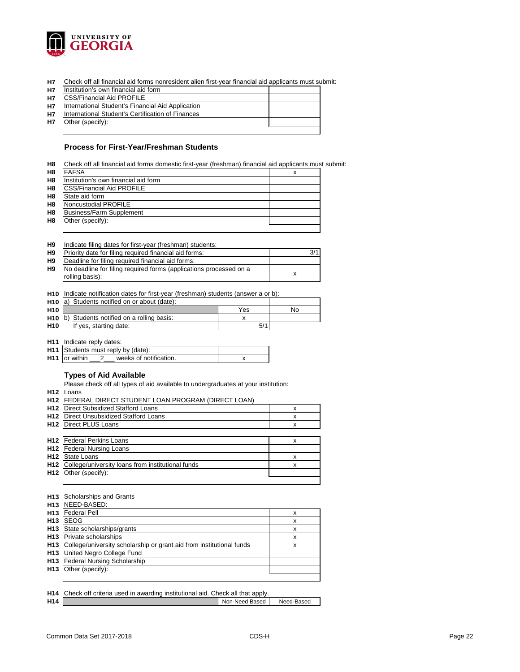

**H7** Check off all financial aid forms nonresident alien first-year financial aid applicants must submit:

| <b>H7</b> | Institution's own financial aid form              |  |
|-----------|---------------------------------------------------|--|
| <b>H7</b> | <b>CSS/Financial Aid PROFILE</b>                  |  |
|           |                                                   |  |
| <b>H7</b> | International Student's Financial Aid Application |  |
| <b>H7</b> | International Student's Certification of Finances |  |
| <b>H7</b> | Other (specify):                                  |  |
|           |                                                   |  |

## **Process for First-Year/Freshman Students**

| H8             | Check off all financial aid forms domestic first-year (freshman) financial aid applicants must submit: |  |
|----------------|--------------------------------------------------------------------------------------------------------|--|
| H <sub>8</sub> | <b>FAFSA</b>                                                                                           |  |
| H <sub>8</sub> | Institution's own financial aid form                                                                   |  |
| H <sub>8</sub> | <b>CSS/Financial Aid PROFILE</b>                                                                       |  |
| H <sub>8</sub> | State aid form                                                                                         |  |
| H <sub>8</sub> | Noncustodial PROFILE                                                                                   |  |
| H <sub>8</sub> | <b>Business/Farm Supplement</b>                                                                        |  |
| H <sub>8</sub> | Other (specify):                                                                                       |  |
|                |                                                                                                        |  |

| H <sub>9</sub> |  |  | Indicate filing dates for first-year (freshman) students: |  |
|----------------|--|--|-----------------------------------------------------------|--|
|----------------|--|--|-----------------------------------------------------------|--|

| H <sub>9</sub> | Priority date for filing required financial aid forms:             |  |
|----------------|--------------------------------------------------------------------|--|
| H <sub>9</sub> | Deadline for filing required financial aid forms:                  |  |
| H <sub>9</sub> | No deadline for filing required forms (applications processed on a |  |
|                | rolling basis):                                                    |  |

**H10** Indicate notification dates for first-year (freshman) students (answer a or b):

|                 | <b>H10</b> (a) Students notified on or about (date):     |     |    |
|-----------------|----------------------------------------------------------|-----|----|
| H <sub>10</sub> |                                                          | Yes | No |
|                 | H <sub>10</sub> b) Students notified on a rolling basis: |     |    |
| <b>H10</b>      | If yes, starting date:                                   |     |    |

**H11** Indicate reply dates:

| <b>H11</b> Students must reply by (date):      |  |
|------------------------------------------------|--|
| <b>H11</b> or within<br>weeks of notification. |  |

## **Types of Aid Available**

Please check off all types of aid available to undergraduates at your institution:

**H12** Loans

| x                                                                                                                                                                                                                                                                                                                |
|------------------------------------------------------------------------------------------------------------------------------------------------------------------------------------------------------------------------------------------------------------------------------------------------------------------|
| x                                                                                                                                                                                                                                                                                                                |
| x                                                                                                                                                                                                                                                                                                                |
|                                                                                                                                                                                                                                                                                                                  |
| x                                                                                                                                                                                                                                                                                                                |
|                                                                                                                                                                                                                                                                                                                  |
| x                                                                                                                                                                                                                                                                                                                |
| x                                                                                                                                                                                                                                                                                                                |
|                                                                                                                                                                                                                                                                                                                  |
|                                                                                                                                                                                                                                                                                                                  |
| H12 FEDERAL DIRECT STUDENT LOAN PROGRAM (DIRECT LOAN)<br>Direct Subsidized Stafford Loans<br>Direct Unsubsidized Stafford Loans<br>Direct PLUS Loans<br><b>H12</b> Federal Perkins Loans<br><b>Federal Nursing Loans</b><br>State Loans<br>College/university loans from institutional funds<br>Other (specify): |

#### **H13** Scholarships and Grants

|                 | H <sub>13</sub> NEED-BASED:                                          |   |
|-----------------|----------------------------------------------------------------------|---|
| H <sub>13</sub> | <b>Federal Pell</b>                                                  | x |
| H <sub>13</sub> | <b>SEOG</b>                                                          | x |
| H <sub>13</sub> | State scholarships/grants                                            | x |
| H <sub>13</sub> | <b>Private scholarships</b>                                          | x |
| H <sub>13</sub> | College/university scholarship or grant aid from institutional funds | х |
| H <sub>13</sub> | United Negro College Fund                                            |   |
| H <sub>13</sub> | <b>Federal Nursing Scholarship</b>                                   |   |
| H <sub>13</sub> | Other (specify):                                                     |   |
|                 |                                                                      |   |

## **H14** Check off criteria used in awarding institutional aid. Check all that apply.

| .   | <u>Under dinensia aboa ini amarang memanenar arar Under an mat apprin</u> |                |            |
|-----|---------------------------------------------------------------------------|----------------|------------|
| H14 |                                                                           | Non-Need Based | Need-Based |
|     |                                                                           |                |            |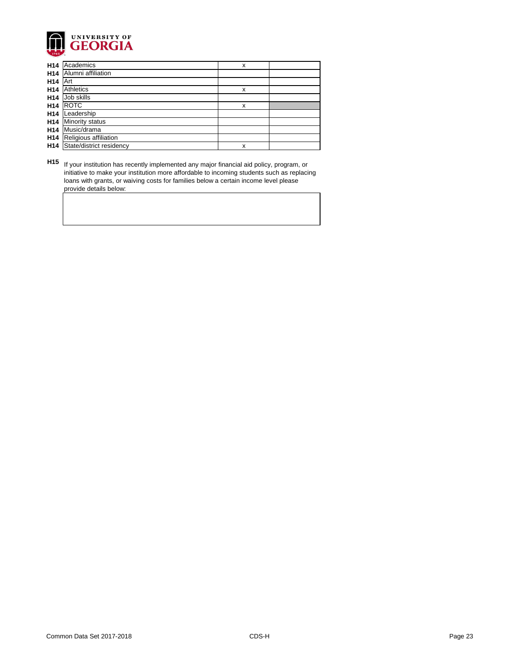

| H <sub>14</sub> | Academics                | x |  |
|-----------------|--------------------------|---|--|
| H14             | Alumni affiliation       |   |  |
| H <sub>14</sub> | Art                      |   |  |
| H14             | Athletics                | X |  |
| H14             | Job skills               |   |  |
| H <sub>14</sub> | <b>ROTC</b>              | X |  |
| H <sub>14</sub> | Leadership               |   |  |
| H <sub>14</sub> | <b>Minority status</b>   |   |  |
| H <sub>14</sub> | Music/drama              |   |  |
| H <sub>14</sub> | Religious affiliation    |   |  |
| H <sub>14</sub> | State/district residency | x |  |

**H15** If your institution has recently implemented any major financial aid policy, program, or initiative to make your institution more affordable to incoming students such as replacing loans with grants, or waiving costs for families below a certain income level please provide details below: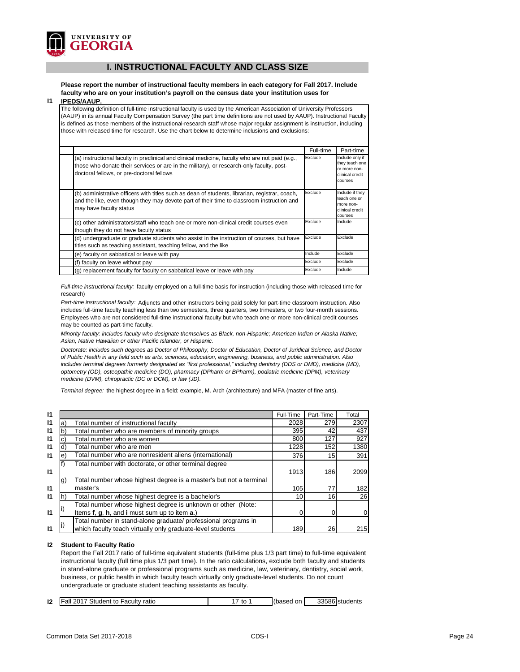

## **I. INSTRUCTIONAL FACULTY AND CLASS SIZE**

**Please report the number of instructional faculty members in each category for Fall 2017. Include faculty who are on your institution's payroll on the census date your institution uses for** 

#### **I1 IPEDS/AAUP.**

The following definition of full-time instructional faculty is used by the American Association of University Professors (AAUP) in its annual Faculty Compensation Survey (the part time definitions are not used by AAUP). Instructional Faculty is defined as those members of the instructional-research staff whose major regular assignment is instruction, including those with released time for research. Use the chart below to determine inclusions and exclusions:

|                                                                                                                                                                                                                                          | Full-time | Part-time                                                                       |
|------------------------------------------------------------------------------------------------------------------------------------------------------------------------------------------------------------------------------------------|-----------|---------------------------------------------------------------------------------|
| (a) instructional faculty in preclinical and clinical medicine, faculty who are not paid (e.g.,<br>those who donate their services or are in the military), or research-only faculty, post-<br>doctoral fellows, or pre-doctoral fellows | Exclude   | Include only if<br>they teach one<br>or more non-<br>clinical credit<br>courses |
| (b) administrative officers with titles such as dean of students, librarian, registrar, coach,<br>and the like, even though they may devote part of their time to classroom instruction and<br>may have faculty status                   | Exclude   | Include if they<br>teach one or<br>more non-<br>clinical credit<br>courses      |
| (c) other administrators/staff who teach one or more non-clinical credit courses even<br>though they do not have faculty status                                                                                                          | Exclude   | Include                                                                         |
| (d) undergraduate or graduate students who assist in the instruction of courses, but have<br>titles such as teaching assistant, teaching fellow, and the like                                                                            | Exclude   | Exclude                                                                         |
| (e) faculty on sabbatical or leave with pay                                                                                                                                                                                              | Include   | Exclude                                                                         |
| (f) faculty on leave without pay                                                                                                                                                                                                         | Exclude   | Exclude                                                                         |
| (g) replacement faculty for faculty on sabbatical leave or leave with pay                                                                                                                                                                | Exclude   | Include                                                                         |

*Full-time instructional faculty:* faculty employed on a full-time basis for instruction (including those with released time for research)

*Part-time instructional faculty:* Adjuncts and other instructors being paid solely for part-time classroom instruction. Also includes full-time faculty teaching less than two semesters, three quarters, two trimesters, or two four-month sessions. Employees who are not considered full-time instructional faculty but who teach one or more non-clinical credit courses may be counted as part-time faculty.

*Minority faculty: includes faculty who designate themselves as Black, non-Hispanic; American Indian or Alaska Native; Asian, Native Hawaiian or other Pacific Islander, or Hispanic.* 

*Doctorate: includes such degrees as Doctor of Philosophy, Doctor of Education, Doctor of Juridical Science, and Doctor of Public Health in any field such as arts, sciences, education, engineering, business, and public administration. Also*  includes terminal degrees formerly designated as "first professional," including dentistry (DDS or DMD), medicine (MD), *optometry (OD), osteopathic medicine (DO), pharmacy (DPharm or BPharm), podiatric medicine (DPM), veterinary medicine (DVM), chiropractic (DC or DCM), or law (JD).*

*Terminal degree:* the highest degree in a field: example, M. Arch (architecture) and MFA (master of fine arts).

| 11           |                                                                          | Full-Time | Part-Time | Total       |
|--------------|--------------------------------------------------------------------------|-----------|-----------|-------------|
| $\mathsf{I}$ | Total number of instructional faculty<br>a)                              | 2028      | 279       | 2307        |
| 11           | Total number who are members of minority groups<br>b                     | 395       | 42        | 437         |
| 11           | Total number who are women                                               | 800       | 127       | 927         |
| 11           | Total number who are men<br>d)                                           | 1228      | 152       | 1380        |
| $\mathsf{I}$ | Total number who are nonresident aliens (international)<br>e)            | 376       | 15        | 391         |
|              | Total number with doctorate, or other terminal degree                    |           |           |             |
| $\mathsf{I}$ |                                                                          | 1913      | 186       | 2099        |
|              | Total number whose highest degree is a master's but not a terminal<br>g) |           |           |             |
| $\mathsf{I}$ | master's                                                                 | 105       | 77        | 182         |
| 11           | Total number whose highest degree is a bachelor's<br>n.                  | 10        | 16        | 26          |
|              | Total number whose highest degree is unknown or other (Note:             |           |           |             |
| $\mathsf{I}$ | Items f, g, h, and i must sum up to item a.)                             |           |           | $\mathbf 0$ |
|              | Total number in stand-alone graduate/ professional programs in           |           |           |             |
|              | which faculty teach virtually only graduate-level students               | 189       | 26        | 215         |

## **I2 Student to Faculty Ratio**

Report the Fall 2017 ratio of full-time equivalent students (full-time plus 1/3 part time) to full-time equivalent instructional faculty (full time plus 1/3 part time). In the ratio calculations, exclude both faculty and students in stand-alone graduate or professional programs such as medicine, law, veterinary, dentistry, social work, business, or public health in which faculty teach virtually only graduate-level students. Do not count undergraduate or graduate student teaching assistants as faculty.

| 12 | Student to<br>Faculty<br>201<br>all<br>ratic | ltc | (based<br>on | 225061<br>335861students |
|----|----------------------------------------------|-----|--------------|--------------------------|
|    |                                              |     |              |                          |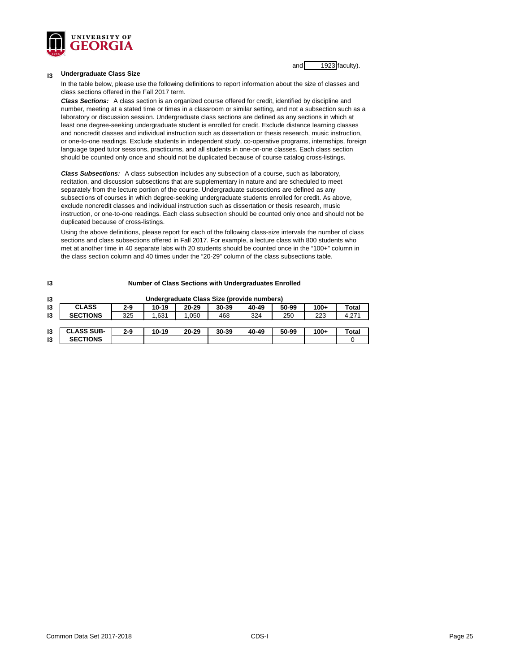

and 1923 faculty).

#### **I3 Undergraduate Class Size**

In the table below, please use the following definitions to report information about the size of classes and class sections offered in the Fall 2017 term.

*Class Sections:* A class section is an organized course offered for credit, identified by discipline and number, meeting at a stated time or times in a classroom or similar setting, and not a subsection such as a laboratory or discussion session. Undergraduate class sections are defined as any sections in which at least one degree-seeking undergraduate student is enrolled for credit. Exclude distance learning classes and noncredit classes and individual instruction such as dissertation or thesis research, music instruction, or one-to-one readings. Exclude students in independent study, co-operative programs, internships, foreign language taped tutor sessions, practicums, and all students in one-on-one classes. Each class section should be counted only once and should not be duplicated because of course catalog cross-listings.

*Class Subsections:* A class subsection includes any subsection of a course, such as laboratory, recitation, and discussion subsections that are supplementary in nature and are scheduled to meet separately from the lecture portion of the course. Undergraduate subsections are defined as any subsections of courses in which degree-seeking undergraduate students enrolled for credit. As above, exclude noncredit classes and individual instruction such as dissertation or thesis research, music instruction, or one-to-one readings. Each class subsection should be counted only once and should not be duplicated because of cross-listings.

Using the above definitions, please report for each of the following class-size intervals the number of class sections and class subsections offered in Fall 2017. For example, a lecture class with 800 students who met at another time in 40 separate labs with 20 students should be counted once in the "100+" column in the class section column and 40 times under the "20-29" column of the class subsections table.

| 13 | <b>Number of Class Sections with Undergraduates Enrolled</b> |         |         |           |           |       |       |        |              |
|----|--------------------------------------------------------------|---------|---------|-----------|-----------|-------|-------|--------|--------------|
| 13 | Undergraduate Class Size (provide numbers)                   |         |         |           |           |       |       |        |              |
| 13 | <b>CLASS</b>                                                 | $2 - 9$ | $10-19$ | $20 - 29$ | $30 - 39$ | 40-49 | 50-99 | $100+$ | <b>Total</b> |
| 13 | <b>SECTIONS</b>                                              | 325     | 1.631   | .,050     | 468       | 324   | 250   | 223    | 4,271        |
|    |                                                              |         |         |           |           |       |       |        |              |
| 13 | <b>CLASS SUB-</b>                                            | $2 - 9$ | $10-19$ | $20 - 29$ | $30 - 39$ | 40-49 | 50-99 | $100+$ | Total        |
| 13 | <b>SECTIONS</b>                                              |         |         |           |           |       |       |        |              |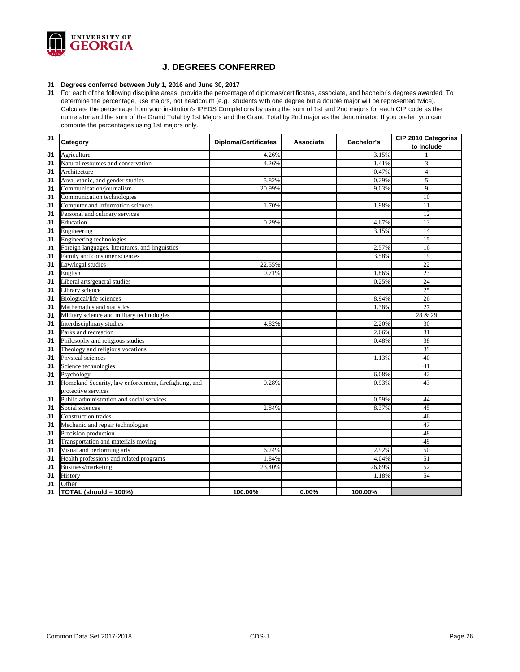

## **J. DEGREES CONFERRED**

## **J1 Degrees conferred between July 1, 2016 and June 30, 2017**

**J1** For each of the following discipline areas, provide the percentage of diplomas/certificates, associate, and bachelor's degrees awarded. To determine the percentage, use majors, not headcount (e.g., students with one degree but a double major will be represented twice). Calculate the percentage from your institution's IPEDS Completions by using the sum of 1st and 2nd majors for each CIP code as the numerator and the sum of the Grand Total by 1st Majors and the Grand Total by 2nd major as the denominator. If you prefer, you can compute the percentages using 1st majors only.

| J <sub>1</sub> | Category                                              | <b>Diploma/Certificates</b> | <b>Associate</b> | <b>Bachelor's</b> | <b>CIP 2010 Categories</b><br>to Include |
|----------------|-------------------------------------------------------|-----------------------------|------------------|-------------------|------------------------------------------|
| J <sub>1</sub> | Agriculture                                           | 4.26%                       |                  | 3.15%             |                                          |
| J <sub>1</sub> | Natural resources and conservation                    | 4.26%                       |                  | 1.41%             | 3                                        |
| J <sub>1</sub> | Architecture                                          |                             |                  | 0.47%             | $\overline{4}$                           |
| J <sub>1</sub> | Area, ethnic, and gender studies                      | 5.82%                       |                  | 0.29%             | 5                                        |
| J <sub>1</sub> | Communication/journalism                              | 20.99%                      |                  | 9.03%             | 9                                        |
| J <sub>1</sub> | Communication technologies                            |                             |                  |                   | 10                                       |
| J <sub>1</sub> | Computer and information sciences                     | 1.70%                       |                  | 1.98%             | 11                                       |
| J <sub>1</sub> | Personal and culinary services                        |                             |                  |                   | 12                                       |
| J <sub>1</sub> | Education                                             | 0.29%                       |                  | 4.67%             | $\overline{13}$                          |
| J <sub>1</sub> | Engineering                                           |                             |                  | 3.15%             | 14                                       |
| J <sub>1</sub> | Engineering technologies                              |                             |                  |                   | 15                                       |
| J <sub>1</sub> | Foreign languages, literatures, and linguistics       |                             |                  | 2.57%             | 16                                       |
| J <sub>1</sub> | Family and consumer sciences                          |                             |                  | 3.58%             | 19                                       |
| J <sub>1</sub> | Law/legal studies                                     | 22.55%                      |                  |                   | 22                                       |
| J <sub>1</sub> | English                                               | 0.71%                       |                  | 1.86%             | 23                                       |
| J <sub>1</sub> | Liberal arts/general studies                          |                             |                  | 0.25%             | $\overline{24}$                          |
| J <sub>1</sub> | Library science                                       |                             |                  |                   | 25                                       |
| J <sub>1</sub> | Biological/life sciences                              |                             |                  | 8.94%             | 26                                       |
| J <sub>1</sub> | Mathematics and statistics                            |                             |                  | 1.38%             | 27                                       |
| J <sub>1</sub> | Military science and military technologies            |                             |                  |                   | 28 & 29                                  |
| J1             | Interdisciplinary studies                             | 4.82%                       |                  | 2.20%             | 30                                       |
| J <sub>1</sub> | Parks and recreation                                  |                             |                  | 2.66%             | 31                                       |
| J <sub>1</sub> | Philosophy and religious studies                      |                             |                  | 0.48%             | 38                                       |
| J <sub>1</sub> | Theology and religious vocations                      |                             |                  |                   | 39                                       |
| J <sub>1</sub> | Physical sciences                                     |                             |                  | 1.13%             | 40                                       |
| J <sub>1</sub> | Science technologies                                  |                             |                  |                   | 41                                       |
| J <sub>1</sub> | Psychology                                            |                             |                  | 6.08%             | 42                                       |
| J <sub>1</sub> | Homeland Security, law enforcement, firefighting, and | 0.28%                       |                  | 0.93%             | 43                                       |
|                | protective services                                   |                             |                  |                   |                                          |
| J <sub>1</sub> | Public administration and social services             |                             |                  | 0.59%             | 44                                       |
| J1             | Social sciences                                       | 2.84%                       |                  | 8.37%             | 45                                       |
| J1             | <b>Construction</b> trades                            |                             |                  |                   | 46                                       |
| J <sub>1</sub> | Mechanic and repair technologies                      |                             |                  |                   | 47                                       |
| J <sub>1</sub> | Precision production                                  |                             |                  |                   | 48                                       |
| J <sub>1</sub> | Transportation and materials moving                   |                             |                  |                   | 49                                       |
| J <sub>1</sub> | Visual and performing arts                            | 6.24%                       |                  | 2.92%             | 50                                       |
| J <sub>1</sub> | Health professions and related programs               | 1.84%                       |                  | 4.04%             | $\overline{51}$                          |
| J <sub>1</sub> | Business/marketing                                    | 23.40%                      |                  | 26.69%            | 52                                       |
| J <sub>1</sub> | History                                               |                             |                  | 1.18%             | 54                                       |
| J <sub>1</sub> | Other                                                 |                             |                  |                   |                                          |
| J1             | TOTAL (should = 100%)                                 | 100.00%                     | 0.00%            | 100.00%           |                                          |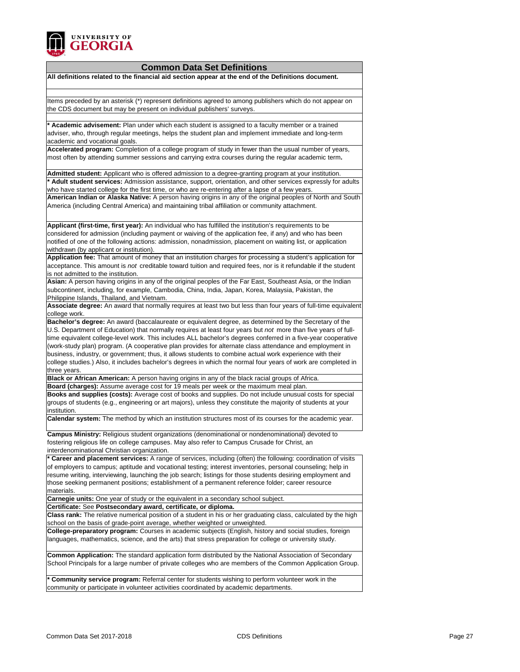

## **Common Data Set Definitions**

**All definitions related to the financial aid section appear at the end of the Definitions document.**

Items preceded by an asterisk (\*) represent definitions agreed to among publishers which do not appear on the CDS document but may be present on individual publishers' surveys.

**\* Academic advisement:** Plan under which each student is assigned to a faculty member or a trained adviser, who, through regular meetings, helps the student plan and implement immediate and long-term academic and vocational goals.

**Accelerated program:** Completion of a college program of study in fewer than the usual number of years, most often by attending summer sessions and carrying extra courses during the regular academic term**.**

**Admitted student:** Applicant who is offered admission to a degree-granting program at your institution. **\* Adult student services:** Admission assistance, support, orientation, and other services expressly for adults who have started college for the first time, or who are re-entering after a lapse of a few years.

**American Indian or Alaska Native:** A person having origins in any of the original peoples of North and South America (including Central America) and maintaining tribal affiliation or community attachment.

**Applicant (first-time, first year):** An individual who has fulfilled the institution's requirements to be considered for admission (including payment or waiving of the application fee, if any) and who has been notified of one of the following actions: admission, nonadmission, placement on waiting list, or application withdrawn (by applicant or institution).

**Application fee:** That amount of money that an institution charges for processing a student's application for acceptance. This amount is *not* creditable toward tuition and required fees, nor is it refundable if the student is not admitted to the institution.

**Asian:** A person having origins in any of the original peoples of the Far East, Southeast Asia, or the Indian subcontinent, including, for example, Cambodia, China, India, Japan, Korea, Malaysia, Pakistan, the Philippine Islands, Thailand, and Vietnam.

**Associate degree:** An award that normally requires at least two but less than four years of full-time equivalent college work.

**Bachelor's degree:** An award (baccalaureate or equivalent degree, as determined by the Secretary of the U.S. Department of Education) that normally requires at least four years but *not* more than five years of fulltime equivalent college-level work. This includes ALL bachelor's degrees conferred in a five-year cooperative (work-study plan) program. (A cooperative plan provides for alternate class attendance and employment in business, industry, or government; thus, it allows students to combine actual work experience with their college studies.) Also, it includes bachelor's degrees in which the normal four years of work are completed in three years.

**Black or African American:** A person having origins in any of the black racial groups of Africa.

**Board (charges):** Assume average cost for 19 meals per week or the maximum meal plan. **Books and supplies (costs):** Average cost of books and supplies. Do not include unusual costs for special groups of students (e.g., engineering or art majors), unless they constitute the majority of students at your institution.

**Calendar system:** The method by which an institution structures most of its courses for the academic year.

**Campus Ministry:** Religious student organizations (denominational or nondenominational) devoted to fostering religious life on college campuses. May also refer to Campus Crusade for Christ, an interdenominational Christian organization.

**\* Career and placement services:** A range of services, including (often) the following: coordination of visits of employers to campus; aptitude and vocational testing; interest inventories, personal counseling; help in resume writing, interviewing, launching the job search; listings for those students desiring employment and those seeking permanent positions; establishment of a permanent reference folder; career resource materials.

**Carnegie units:** One year of study or the equivalent in a secondary school subject.

**Certificate:** See **Postsecondary award, certificate, or diploma.**

**Class rank:** The relative numerical position of a student in his or her graduating class, calculated by the high school on the basis of grade-point average, whether weighted or unweighted.

**College-preparatory program:** Courses in academic subjects (English, history and social studies, foreign languages, mathematics, science, and the arts) that stress preparation for college or university study.

**Common Application:** The standard application form distributed by the National Association of Secondary School Principals for a large number of private colleges who are members of the Common Application Group.

**\* Community service program:** Referral center for students wishing to perform volunteer work in the community or participate in volunteer activities coordinated by academic departments.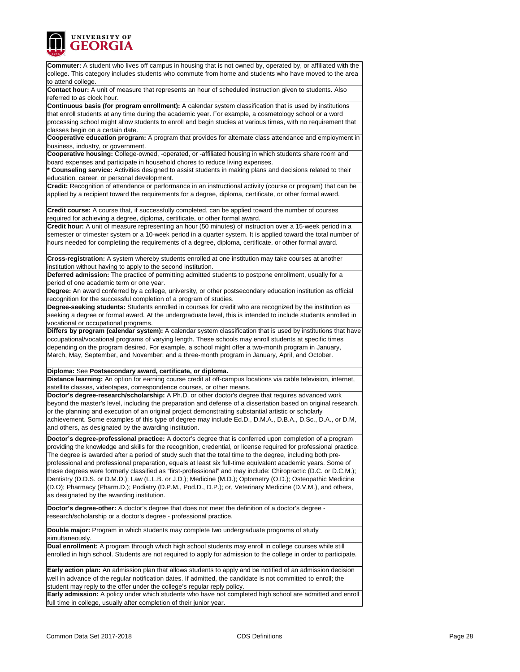

| <b>Commuter:</b> A student who lives off campus in housing that is not owned by, operated by, or affiliated with the                                                                  |  |
|---------------------------------------------------------------------------------------------------------------------------------------------------------------------------------------|--|
| college. This category includes students who commute from home and students who have moved to the area<br>to attend college.                                                          |  |
| Contact hour: A unit of measure that represents an hour of scheduled instruction given to students. Also                                                                              |  |
| referred to as clock hour.                                                                                                                                                            |  |
| Continuous basis (for program enrollment): A calendar system classification that is used by institutions                                                                              |  |
| that enroll students at any time during the academic year. For example, a cosmetology school or a word                                                                                |  |
| processing school might allow students to enroll and begin studies at various times, with no requirement that                                                                         |  |
| classes begin on a certain date.                                                                                                                                                      |  |
| Cooperative education program: A program that provides for alternate class attendance and employment in                                                                               |  |
| business, industry, or government.                                                                                                                                                    |  |
| Cooperative housing: College-owned, -operated, or -affiliated housing in which students share room and                                                                                |  |
| board expenses and participate in household chores to reduce living expenses.                                                                                                         |  |
| * Counseling service: Activities designed to assist students in making plans and decisions related to their                                                                           |  |
| education, career, or personal development.                                                                                                                                           |  |
| Credit: Recognition of attendance or performance in an instructional activity (course or program) that can be                                                                         |  |
| applied by a recipient toward the requirements for a degree, diploma, certificate, or other formal award.                                                                             |  |
| Credit course: A course that, if successfully completed, can be applied toward the number of courses<br>required for achieving a degree, diploma, certificate, or other formal award. |  |
| Credit hour: A unit of measure representing an hour (50 minutes) of instruction over a 15-week period in a                                                                            |  |
| semester or trimester system or a 10-week period in a quarter system. It is applied toward the total number of                                                                        |  |
|                                                                                                                                                                                       |  |
| hours needed for completing the requirements of a degree, diploma, certificate, or other formal award.                                                                                |  |
|                                                                                                                                                                                       |  |
| Cross-registration: A system whereby students enrolled at one institution may take courses at another                                                                                 |  |
| institution without having to apply to the second institution.                                                                                                                        |  |
| Deferred admission: The practice of permitting admitted students to postpone enrollment, usually for a                                                                                |  |
| period of one academic term or one year.                                                                                                                                              |  |
| Degree: An award conferred by a college, university, or other postsecondary education institution as official                                                                         |  |
| recognition for the successful completion of a program of studies.                                                                                                                    |  |
| Degree-seeking students: Students enrolled in courses for credit who are recognized by the institution as                                                                             |  |
| seeking a degree or formal award. At the undergraduate level, this is intended to include students enrolled in                                                                        |  |
| vocational or occupational programs.                                                                                                                                                  |  |
| Differs by program (calendar system): A calendar system classification that is used by institutions that have                                                                         |  |
| occupational/vocational programs of varying length. These schools may enroll students at specific times                                                                               |  |
| depending on the program desired. For example, a school might offer a two-month program in January,                                                                                   |  |
| March, May, September, and November; and a three-month program in January, April, and October.                                                                                        |  |
| Diploma: See Postsecondary award, certificate, or diploma.                                                                                                                            |  |
| Distance learning: An option for earning course credit at off-campus locations via cable television, internet,                                                                        |  |
|                                                                                                                                                                                       |  |
| satellite classes, videotapes, correspondence courses, or other means.                                                                                                                |  |
| Doctor's degree-research/scholarship: A Ph.D. or other doctor's degree that requires advanced work                                                                                    |  |
| beyond the master's level, including the preparation and defense of a dissertation based on original research,                                                                        |  |
| or the planning and execution of an original project demonstrating substantial artistic or scholarly                                                                                  |  |
| achievement. Some examples of this type of degree may include Ed.D., D.M.A., D.B.A., D.Sc., D.A., or D.M,                                                                             |  |
| and others, as designated by the awarding institution.                                                                                                                                |  |
| Doctor's degree-professional practice: A doctor's degree that is conferred upon completion of a program                                                                               |  |
| providing the knowledge and skills for the recognition, credential, or license required for professional practice.                                                                    |  |
| The degree is awarded after a period of study such that the total time to the degree, including both pre-                                                                             |  |
| professional and professional preparation, equals at least six full-time equivalent academic years. Some of                                                                           |  |
|                                                                                                                                                                                       |  |
| these degrees were formerly classified as "first-professional" and may include: Chiropractic (D.C. or D.C.M.);                                                                        |  |
| Dentistry (D.D.S. or D.M.D.); Law (L.L.B. or J.D.); Medicine (M.D.); Optometry (O.D.); Osteopathic Medicine                                                                           |  |
| (D.O); Pharmacy (Pharm.D.); Podiatry (D.P.M., Pod.D., D.P.); or, Veterinary Medicine (D.V.M.), and others,                                                                            |  |
| as designated by the awarding institution.                                                                                                                                            |  |
| Doctor's degree-other: A doctor's degree that does not meet the definition of a doctor's degree -                                                                                     |  |
| research/scholarship or a doctor's degree - professional practice.                                                                                                                    |  |
|                                                                                                                                                                                       |  |
| Double major: Program in which students may complete two undergraduate programs of study                                                                                              |  |
| simultaneously.                                                                                                                                                                       |  |
| Dual enrollment: A program through which high school students may enroll in college courses while still                                                                               |  |
| enrolled in high school. Students are not required to apply for admission to the college in order to participate.                                                                     |  |
|                                                                                                                                                                                       |  |
| Early action plan: An admission plan that allows students to apply and be notified of an admission decision                                                                           |  |
| well in advance of the regular notification dates. If admitted, the candidate is not committed to enroll; the                                                                         |  |
| student may reply to the offer under the college's regular reply policy.                                                                                                              |  |
| Early admission: A policy under which students who have not completed high school are admitted and enroll                                                                             |  |
| full time in college, usually after completion of their junior year.                                                                                                                  |  |
|                                                                                                                                                                                       |  |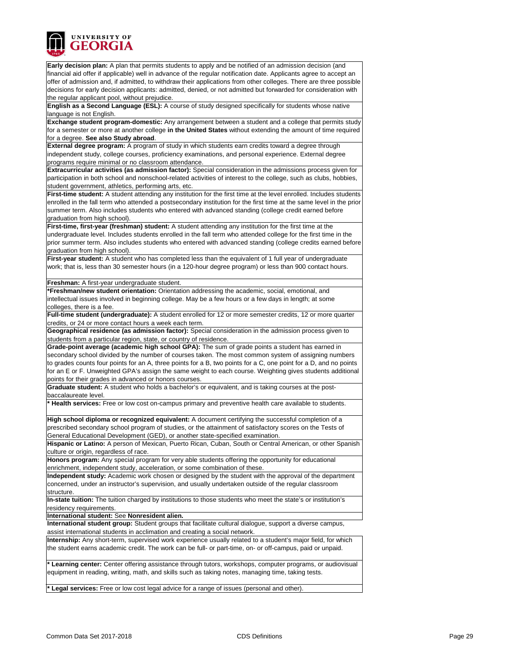

**Early decision plan:** A plan that permits students to apply and be notified of an admission decision (and financial aid offer if applicable) well in advance of the regular notification date. Applicants agree to accept an offer of admission and, if admitted, to withdraw their applications from other colleges. There are three possible decisions for early decision applicants: admitted, denied, or not admitted but forwarded for consideration with the regular applicant pool, without prejudice.

**English as a Second Language (ESL):** A course of study designed specifically for students whose native language is not English.

**Exchange student program-domestic:** Any arrangement between a student and a college that permits study for a semester or more at another college **in the United States** without extending the amount of time required for a degree. **See also Study abroad**.

**External degree program:** A program of study in which students earn credits toward a degree through independent study, college courses, proficiency examinations, and personal experience. External degree programs require minimal or no classroom attendance.

**Extracurricular activities (as admission factor):** Special consideration in the admissions process given for participation in both school and nonschool-related activities of interest to the college, such as clubs, hobbies, student government, athletics, performing arts, etc.

**First-time student:** A student attending any institution for the first time at the level enrolled. Includes students enrolled in the fall term who attended a postsecondary institution for the first time at the same level in the prior summer term. Also includes students who entered with advanced standing (college credit earned before graduation from high school).

**First-time, first-year (freshman) student:** A student attending any institution for the first time at the undergraduate level. Includes students enrolled in the fall term who attended college for the first time in the prior summer term. Also includes students who entered with advanced standing (college credits earned before graduation from high school).

First-year student: A student who has completed less than the equivalent of 1 full year of undergraduate work; that is, less than 30 semester hours (in a 120-hour degree program) or less than 900 contact hours.

#### **Freshman:** A first-year undergraduate student.

**\*Freshman/new student orientation:** Orientation addressing the academic, social, emotional, and intellectual issues involved in beginning college. May be a few hours or a few days in length; at some colleges, there is a fee.

**Full-time student (undergraduate):** A student enrolled for 12 or more semester credits, 12 or more quarter credits, or 24 or more contact hours a week each term.

**Geographical residence (as admission factor):** Special consideration in the admission process given to students from a particular region, state, or country of residence.

**Grade-point average (academic high school GPA):** The sum of grade points a student has earned in secondary school divided by the number of courses taken. The most common system of assigning numbers to grades counts four points for an A, three points for a B, two points for a C, one point for a D, and no points for an E or F. Unweighted GPA's assign the same weight to each course. Weighting gives students additional points for their grades in advanced or honors courses.

**Graduate student:** A student who holds a bachelor's or equivalent, and is taking courses at the postbaccalaureate level.

**\* Health services:** Free or low cost on-campus primary and preventive health care available to students.

**High school diploma or recognized equivalent:** A document certifying the successful completion of a prescribed secondary school program of studies, or the attainment of satisfactory scores on the Tests of General Educational Development (GED), or another state-specified examination.

**Hispanic or Latino:** A person of Mexican, Puerto Rican, Cuban, South or Central American, or other Spanish culture or origin, regardless of race.

**Honors program:** Any special program for very able students offering the opportunity for educational enrichment, independent study, acceleration, or some combination of these.

**Independent study:** Academic work chosen or designed by the student with the approval of the department concerned, under an instructor's supervision, and usually undertaken outside of the regular classroom structure.

**In-state tuition:** The tuition charged by institutions to those students who meet the state's or institution's residency requirements.

**International student:** See **Nonresident alien.**

**International student group:** Student groups that facilitate cultural dialogue, support a diverse campus, assist international students in acclimation and creating a social network.

**Internship:** Any short-term, supervised work experience usually related to a student's major field, for which the student earns academic credit. The work can be full- or part-time, on- or off-campus, paid or unpaid.

**Learning center:** Center offering assistance through tutors, workshops, computer programs, or audiovisual equipment in reading, writing, math, and skills such as taking notes, managing time, taking tests.

**\* Legal services:** Free or low cost legal advice for a range of issues (personal and other).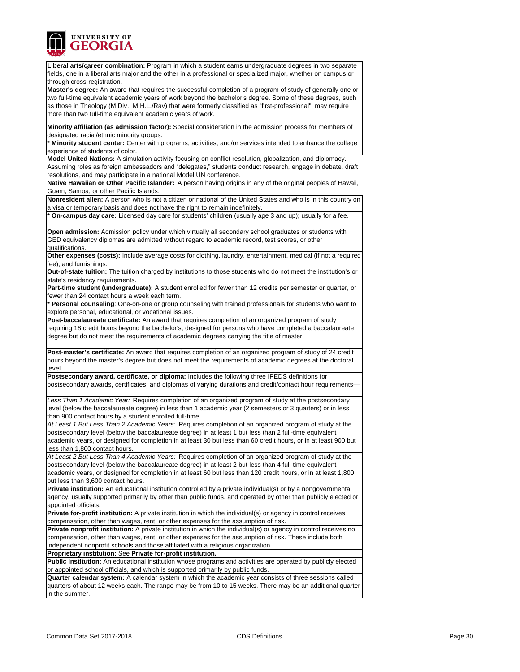

**Liberal arts/career combination:** Program in which a student earns undergraduate degrees in two separate fields, one in a liberal arts major and the other in a professional or specialized major, whether on campus or ‑ through cross registration.

**Master's degree:** An award that requires the successful completion of a program of study of generally one or two full-time equivalent academic years of work beyond the bachelor's degree. Some of these degrees, such as those in Theology (M.Div., M.H.L./Rav) that were formerly classified as "first-professional", may require more than two full-time equivalent academic years of work.

**Minority affiliation (as admission factor):** Special consideration in the admission process for members of designated racial/ethnic minority groups.

**\* Minority student center:** Center with programs, activities, and/or services intended to enhance the college experience of students of color.

**Model United Nations:** A simulation activity focusing on conflict resolution, globalization, and diplomacy.

Assuming roles as foreign ambassadors and "delegates," students conduct research, engage in debate, draft resolutions, and may participate in a national Model UN conference.

**Native Hawaiian or Other Pacific Islander:** A person having origins in any of the original peoples of Hawaii, Guam, Samoa, or other Pacific Islands.

**Nonresident alien:** A person who is not a citizen or national of the United States and who is in this country on a visa or temporary basis and does not have the right to remain indefinitely.

**On-campus day care:** Licensed day care for students' children (usually age 3 and up); usually for a fee.

**Open admission:** Admission policy under which virtually all secondary school graduates or students with GED equivalency diplomas are admitted without regard to academic record, test scores, or other qualifications.

**Other expenses (costs):** Include average costs for clothing, laundry, entertainment, medical (if not a required fee), and furnishings.

**Out-of-state tuition:** The tuition charged by institutions to those students who do not meet the institution's or state's residency requirements.

**Part-time student (undergraduate):** A student enrolled for fewer than 12 credits per semester or quarter, or fewer than 24 contact hours a week each term.

**\* Personal counseling**: One-on-one or group counseling with trained professionals for students who want to explore personal, educational, or vocational issues.

**Post-baccalaureate certificate:** An award that requires completion of an organized program of study requiring 18 credit hours beyond the bachelor's; designed for persons who have completed a baccalaureate degree but do not meet the requirements of academic degrees carrying the title of master.

**Post-master's certificate:** An award that requires completion of an organized program of study of 24 credit hours beyond the master's degree but does not meet the requirements of academic degrees at the doctoral level.

**Postsecondary award, certificate, or diploma:** Includes the following three IPEDS definitions for postsecondary awards, certificates, and diplomas of varying durations and credit/contact hour requirements—

*Less Than 1 Academic Year:* Requires completion of an organized program of study at the postsecondary level (below the baccalaureate degree) in less than 1 academic year (2 semesters or 3 quarters) or in less than 900 contact hours by a student enrolled full-time.

*At Least 1 But Less Than 2 Academic Years:* Requires completion of an organized program of study at the postsecondary level (below the baccalaureate degree) in at least 1 but less than 2 full-time equivalent academic years, or designed for completion in at least 30 but less than 60 credit hours, or in at least 900 but less than 1,800 contact hours.

*At Least 2 But Less Than 4 Academic Years:* Requires completion of an organized program of study at the postsecondary level (below the baccalaureate degree) in at least 2 but less than 4 full-time equivalent academic years, or designed for completion in at least 60 but less than 120 credit hours, or in at least 1,800 but less than 3,600 contact hours.

**Private institution:** An educational institution controlled by a private individual(s) or by a nongovernmental agency, usually supported primarily by other than public funds, and operated by other than publicly elected or appointed officials.

**Private for-profit institution:** A private institution in which the individual(s) or agency in control receives compensation, other than wages, rent, or other expenses for the assumption of risk.

**Private nonprofit institution:** A private institution in which the individual(s) or agency in control receives no compensation, other than wages, rent, or other expenses for the assumption of risk. These include both independent nonprofit schools and those affiliated with a religious organization.

**Proprietary institution:** See **Private for-profit institution.**

**Public institution:** An educational institution whose programs and activities are operated by publicly elected or appointed school officials, and which is supported primarily by public funds.

**Quarter calendar system:** A calendar system in which the academic year consists of three sessions called quarters of about 12 weeks each. The range may be from 10 to 15 weeks. There may be an additional quarter in the summer.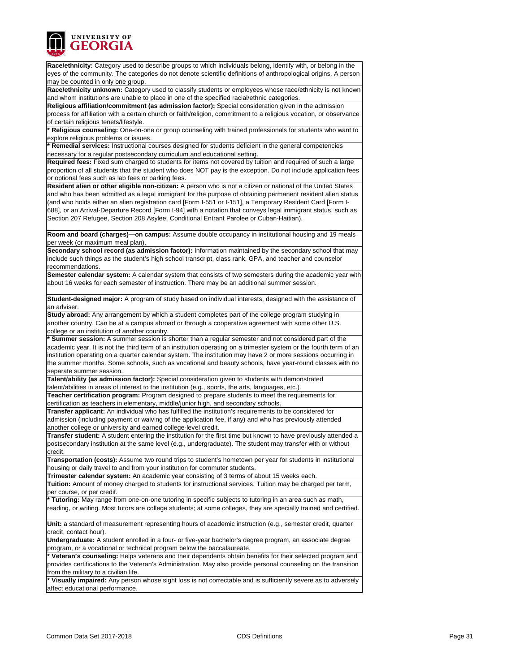

**Race/ethnicity:** Category used to describe groups to which individuals belong, identify with, or belong in the eyes of the community. The categories do not denote scientific definitions of anthropological origins. A person may be counted in only one group.

**Race/ethnicity unknown:** Category used to classify students or employees whose race/ethnicity is not known and whom institutions are unable to place in one of the specified racial/ethnic categories.

**Religious affiliation/commitment (as admission factor):** Special consideration given in the admission process for affiliation with a certain church or faith/religion, commitment to a religious vocation, or observance of certain religious tenets/lifestyle.

**\* Religious counseling:** One-on-one or group counseling with trained professionals for students who want to explore religious problems or issues.

**\* Remedial services:** Instructional courses designed for students deficient in the general competencies necessary for a regular postsecondary curriculum and educational setting.

**Required fees:** Fixed sum charged to students for items not covered by tuition and required of such a large proportion of all students that the student who does NOT pay is the exception. Do not include application fees or optional fees such as lab fees or parking fees.

**Resident alien or other eligible non-citizen:** A person who is not a citizen or national of the United States and who has been admitted as a legal immigrant for the purpose of obtaining permanent resident alien status (and who holds either an alien registration card [Form I-551 or I-151], a Temporary Resident Card [Form I-688], or an Arrival-Departure Record [Form I-94] with a notation that conveys legal immigrant status, such as Section 207 Refugee, Section 208 Asylee, Conditional Entrant Parolee or Cuban-Haitian).

**Room and board (charges)—on campus:** Assume double occupancy in institutional housing and 19 meals per week (or maximum meal plan).

**Secondary school record (as admission factor):** Information maintained by the secondary school that may include such things as the student's high school transcript, class rank, GPA, and teacher and counselor recommendations.

**Semester calendar system:** A calendar system that consists of two semesters during the academic year with about 16 weeks for each semester of instruction. There may be an additional summer session.

**Student-designed major:** A program of study based on individual interests, designed with the assistance of an adviser.

**Study abroad:** Any arrangement by which a student completes part of the college program studying in another country. Can be at a campus abroad or through a cooperative agreement with some other U.S. college or an institution of another country.

**\* Summer session:** A summer session is shorter than a regular semester and not considered part of the academic year. It is not the third term of an institution operating on a trimester system or the fourth term of an institution operating on a quarter calendar system. The institution may have 2 or more sessions occurring in the summer months. Some schools, such as vocational and beauty schools, have year-round classes with no separate summer session.

**Talent/ability (as admission factor):** Special consideration given to students with demonstrated talent/abilities in areas of interest to the institution (e.g., sports, the arts, languages, etc.). **Teacher certification program:** Program designed to prepare students to meet the requirements for

certification as teachers in elementary, middle/junior high, and secondary schools.

**Transfer applicant:** An individual who has fulfilled the institution's requirements to be considered for admission (including payment or waiving of the application fee, if any) and who has previously attended another college or university and earned college-level credit.

**Transfer student:** A student entering the institution for the first time but known to have previously attended a postsecondary institution at the same level (e.g., undergraduate). The student may transfer with or without credit.

**Transportation (costs):** Assume two round trips to student's hometown per year for students in institutional housing or daily travel to and from your institution for commuter students.

**Trimester calendar system:** An academic year consisting of 3 terms of about 15 weeks each.

**Tuition:** Amount of money charged to students for instructional services. Tuition may be charged per term, per course, or per credit.

**\* Tutoring:** May range from one-on-one tutoring in specific subjects to tutoring in an area such as math, reading, or writing. Most tutors are college students; at some colleges, they are specially trained and certified.

**Unit:** a standard of measurement representing hours of academic instruction (e.g., semester credit, quarter credit, contact hour).

**Undergraduate:** A student enrolled in a four- or five-year bachelor's degree program, an associate degree program, or a vocational or technical program below the baccalaureate.

**\* Veteran's counseling:** Helps veterans and their dependents obtain benefits for their selected program and provides certifications to the Veteran's Administration. May also provide personal counseling on the transition from the military to a civilian life.

Visually impaired: Any person whose sight loss is not correctable and is sufficiently severe as to adversely affect educational performance.